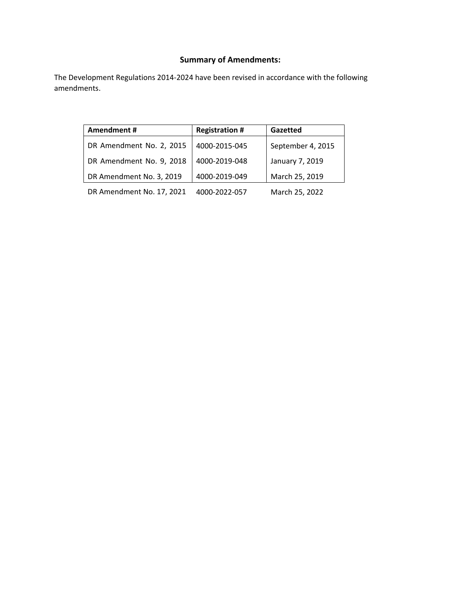## **Summary of Amendments:**

The Development Regulations 2014‐2024 have been revised in accordance with the following amendments.

| Amendment#                | <b>Registration #</b> | Gazetted          |
|---------------------------|-----------------------|-------------------|
| DR Amendment No. 2, 2015  | 4000-2015-045         | September 4, 2015 |
| DR Amendment No. 9, 2018  | 4000-2019-048         | January 7, 2019   |
| DR Amendment No. 3, 2019  | 4000-2019-049         | March 25, 2019    |
| DR Amendment No. 17, 2021 | 4000-2022-057         | March 25, 2022    |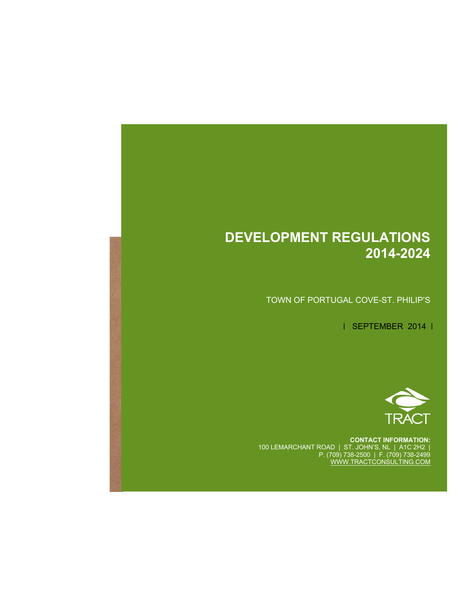## **DEVELOPMENT REGULATIONS 2014-2024**

 **Development Regulations (2013‐2023)**

 **DRAFT**

TOWN OF PORTUGAL COVE-ST. PHILIP'S

| SEPTEMBER 2014 |



**CONTACT INFORMATION:**  100 LEMARCHANT ROAD | ST. JOHN'S, NL | A1C 2H2 | P. (709) 738-2500 | F. (709) 738-2499 WWW.TRACTCONSULTING.COM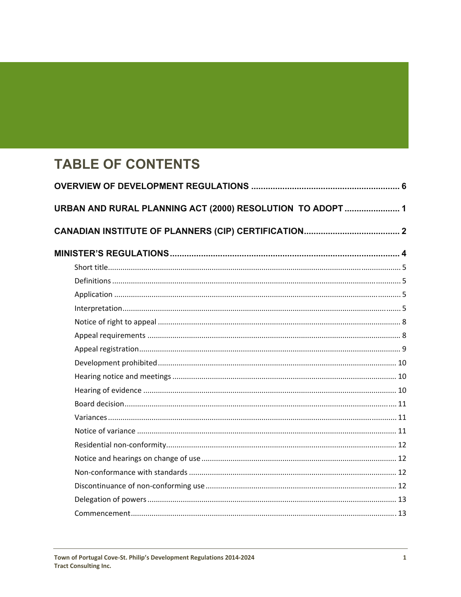# **TABLE OF CONTENTS**

| URBAN AND RURAL PLANNING ACT (2000) RESOLUTION TO ADOPT  1 |  |
|------------------------------------------------------------|--|
|                                                            |  |
|                                                            |  |
|                                                            |  |
|                                                            |  |
|                                                            |  |
|                                                            |  |
|                                                            |  |
|                                                            |  |
|                                                            |  |
|                                                            |  |
|                                                            |  |
|                                                            |  |
|                                                            |  |
|                                                            |  |
|                                                            |  |
|                                                            |  |
|                                                            |  |
|                                                            |  |
|                                                            |  |
|                                                            |  |
|                                                            |  |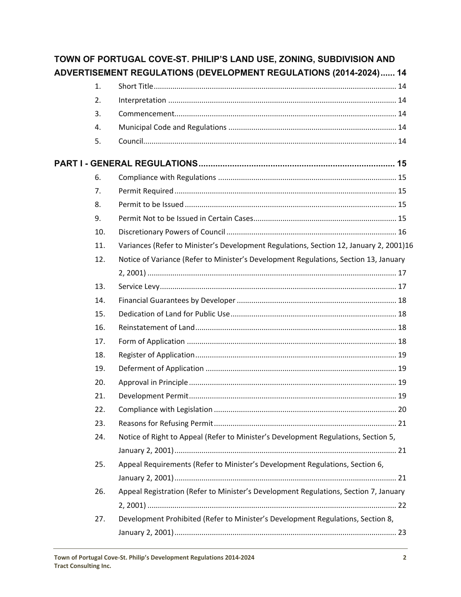|     | TOWN OF PORTUGAL COVE-ST. PHILIP'S LAND USE, ZONING, SUBDIVISION AND                   |  |
|-----|----------------------------------------------------------------------------------------|--|
|     | ADVERTISEMENT REGULATIONS (DEVELOPMENT REGULATIONS (2014-2024) 14                      |  |
| 1.  |                                                                                        |  |
| 2.  |                                                                                        |  |
| 3.  |                                                                                        |  |
| 4.  |                                                                                        |  |
| 5.  |                                                                                        |  |
|     |                                                                                        |  |
| 6.  |                                                                                        |  |
| 7.  |                                                                                        |  |
| 8.  |                                                                                        |  |
| 9.  |                                                                                        |  |
| 10. |                                                                                        |  |
| 11. | Variances (Refer to Minister's Development Regulations, Section 12, January 2, 2001)16 |  |
| 12. | Notice of Variance (Refer to Minister's Development Regulations, Section 13, January   |  |
|     |                                                                                        |  |
| 13. |                                                                                        |  |
| 14. |                                                                                        |  |
| 15. |                                                                                        |  |
| 16. |                                                                                        |  |
| 17. |                                                                                        |  |
| 18. |                                                                                        |  |
| 19. |                                                                                        |  |
| 20. |                                                                                        |  |
| 21. |                                                                                        |  |
| 22. |                                                                                        |  |
| 23. |                                                                                        |  |
| 24. | Notice of Right to Appeal (Refer to Minister's Development Regulations, Section 5,     |  |
|     |                                                                                        |  |
| 25. | Appeal Requirements (Refer to Minister's Development Regulations, Section 6,           |  |
|     |                                                                                        |  |
| 26. | Appeal Registration (Refer to Minister's Development Regulations, Section 7, January   |  |
|     |                                                                                        |  |
| 27. | Development Prohibited (Refer to Minister's Development Regulations, Section 8,        |  |
|     |                                                                                        |  |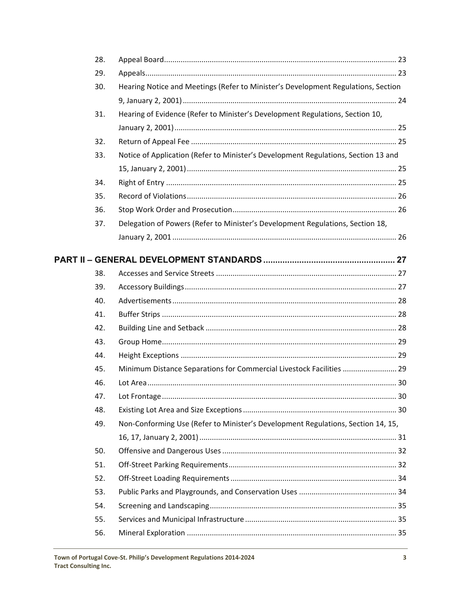| 28. |                                                                                    |  |
|-----|------------------------------------------------------------------------------------|--|
| 29. |                                                                                    |  |
| 30. | Hearing Notice and Meetings (Refer to Minister's Development Regulations, Section  |  |
|     |                                                                                    |  |
| 31. | Hearing of Evidence (Refer to Minister's Development Regulations, Section 10,      |  |
|     |                                                                                    |  |
| 32. |                                                                                    |  |
| 33. | Notice of Application (Refer to Minister's Development Regulations, Section 13 and |  |
|     |                                                                                    |  |
| 34. |                                                                                    |  |
| 35. |                                                                                    |  |
| 36. |                                                                                    |  |
| 37. | Delegation of Powers (Refer to Minister's Development Regulations, Section 18,     |  |
|     |                                                                                    |  |
|     |                                                                                    |  |
|     |                                                                                    |  |
| 38. |                                                                                    |  |
| 39. |                                                                                    |  |
| 40. |                                                                                    |  |
| 41. |                                                                                    |  |
| 42. |                                                                                    |  |
| 43. |                                                                                    |  |
| 44. |                                                                                    |  |
| 45. | Minimum Distance Separations for Commercial Livestock Facilities  29               |  |
| 46. |                                                                                    |  |
| 47. |                                                                                    |  |
| 48. |                                                                                    |  |
| 49. | Non-Conforming Use (Refer to Minister's Development Regulations, Section 14, 15,   |  |
|     |                                                                                    |  |
| 50. |                                                                                    |  |
| 51. |                                                                                    |  |
| 52. |                                                                                    |  |
| 53. |                                                                                    |  |
| 54. |                                                                                    |  |
| 55. |                                                                                    |  |
| 56. |                                                                                    |  |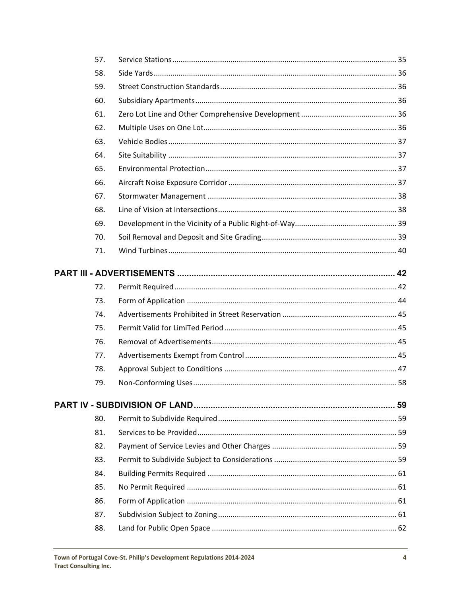| 57. |  |
|-----|--|
| 58. |  |
| 59. |  |
| 60. |  |
| 61. |  |
| 62. |  |
| 63. |  |
| 64. |  |
| 65. |  |
| 66. |  |
| 67. |  |
| 68. |  |
| 69. |  |
| 70. |  |
| 71. |  |
|     |  |
| 72. |  |
| 73. |  |
| 74. |  |
| 75. |  |
| 76. |  |
| 77. |  |
| 78. |  |
| 79. |  |
|     |  |
| 80. |  |
| 81. |  |
| 82. |  |
| 83. |  |
| 84. |  |
| 85. |  |
| 86. |  |
| 87. |  |
| 88. |  |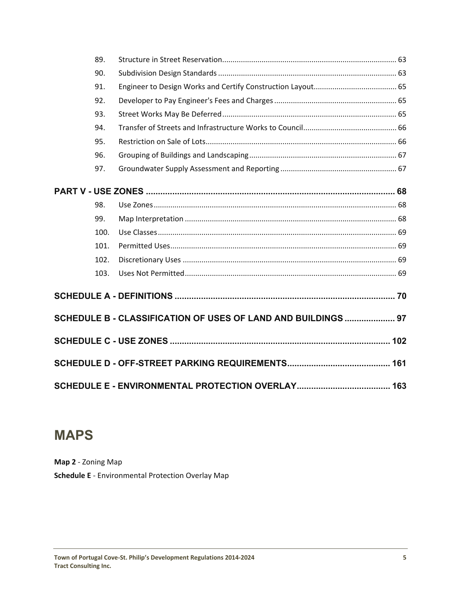|  | 89.  |                                                               |  |
|--|------|---------------------------------------------------------------|--|
|  | 90.  |                                                               |  |
|  | 91.  |                                                               |  |
|  | 92.  |                                                               |  |
|  | 93.  |                                                               |  |
|  | 94.  |                                                               |  |
|  | 95.  |                                                               |  |
|  | 96.  |                                                               |  |
|  | 97.  |                                                               |  |
|  |      |                                                               |  |
|  | 98.  |                                                               |  |
|  | 99.  |                                                               |  |
|  | 100. |                                                               |  |
|  | 101. |                                                               |  |
|  | 102. |                                                               |  |
|  | 103. |                                                               |  |
|  |      |                                                               |  |
|  |      | SCHEDULE B - CLASSIFICATION OF USES OF LAND AND BUILDINGS  97 |  |
|  |      |                                                               |  |
|  |      |                                                               |  |
|  |      |                                                               |  |

# **MAPS**

**Map 2** ‐ Zoning Map **Schedule E** ‐ Environmental Protection Overlay Map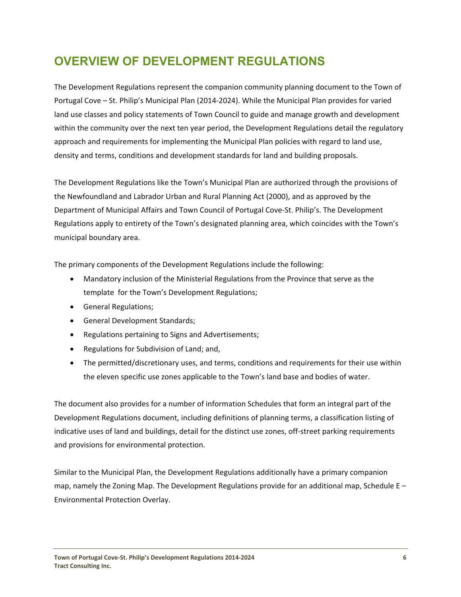## <span id="page-7-0"></span>**OVERVIEW OF DEVELOPMENT REGULATIONS**

The Development Regulations represent the companion community planning document to the Town of Portugal Cove – St. Philip's Municipal Plan (2014‐2024). While the Municipal Plan provides for varied land use classes and policy statements of Town Council to guide and manage growth and development within the community over the next ten year period, the Development Regulations detail the regulatory approach and requirements for implementing the Municipal Plan policies with regard to land use, density and terms, conditions and development standards for land and building proposals.

The Development Regulations like the Town's Municipal Plan are authorized through the provisions of the Newfoundland and Labrador Urban and Rural Planning Act (2000), and as approved by the Department of Municipal Affairs and Town Council of Portugal Cove‐St. Philip's. The Development Regulations apply to entirety of the Town's designated planning area, which coincides with the Town's municipal boundary area.

The primary components of the Development Regulations include the following:

- Mandatory inclusion of the Ministerial Regulations from the Province that serve as the template for the Town's Development Regulations;
- General Regulations;
- General Development Standards;
- Regulations pertaining to Signs and Advertisements;
- Regulations for Subdivision of Land; and,
- The permitted/discretionary uses, and terms, conditions and requirements for their use within the eleven specific use zones applicable to the Town's land base and bodies of water.

The document also provides for a number of information Schedules that form an integral part of the Development Regulations document, including definitions of planning terms, a classification listing of indicative uses of land and buildings, detail for the distinct use zones, off‐street parking requirements and provisions for environmental protection.

Similar to the Municipal Plan, the Development Regulations additionally have a primary companion map, namely the Zoning Map. The Development Regulations provide for an additional map, Schedule  $E -$ Environmental Protection Overlay.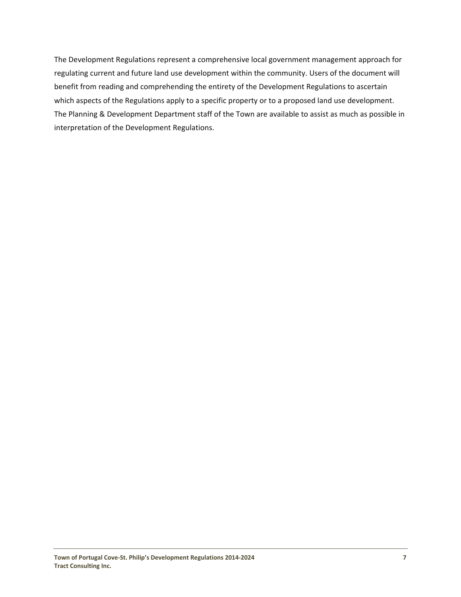The Development Regulations represent a comprehensive local government management approach for regulating current and future land use development within the community. Users of the document will benefit from reading and comprehending the entirety of the Development Regulations to ascertain which aspects of the Regulations apply to a specific property or to a proposed land use development. The Planning & Development Department staff of the Town are available to assist as much as possible in interpretation of the Development Regulations.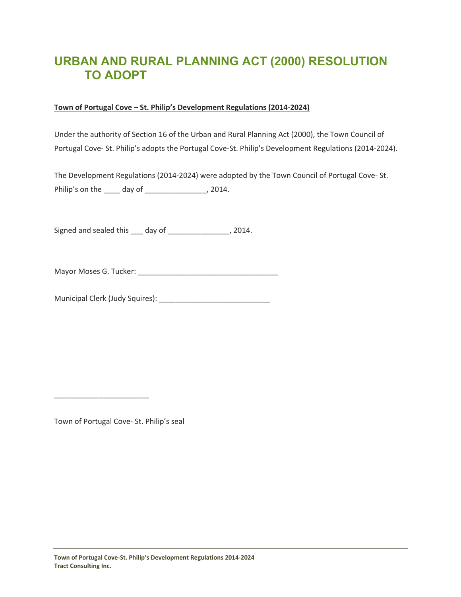## <span id="page-9-0"></span>**URBAN AND RURAL PLANNING ACT (2000) RESOLUTION TO ADOPT**

#### **Town of Portugal Cove – St. Philip's Development Regulations (2014‐2024)**

Under the authority of Section 16 of the Urban and Rural Planning Act (2000), the Town Council of Portugal Cove‐ St. Philip's adopts the Portugal Cove‐St. Philip's Development Regulations (2014‐2024).

The Development Regulations (2014‐2024) were adopted by the Town Council of Portugal Cove‐ St. Philip's on the \_\_\_\_ day of \_\_\_\_\_\_\_\_\_\_\_\_\_\_\_, 2014.

Signed and sealed this \_\_\_ day of \_\_\_\_\_\_\_\_\_\_\_\_\_\_\_, 2014.

Mayor Moses G. Tucker: \_\_\_\_\_\_\_\_\_\_\_\_\_\_\_\_\_\_\_\_\_\_\_\_\_\_\_\_\_\_\_\_\_\_

Municipal Clerk (Judy Squires): \_\_\_\_\_\_\_\_\_\_\_\_\_\_\_\_\_\_\_\_\_\_\_\_\_\_\_

Town of Portugal Cove‐ St. Philip's seal

\_\_\_\_\_\_\_\_\_\_\_\_\_\_\_\_\_\_\_\_\_\_\_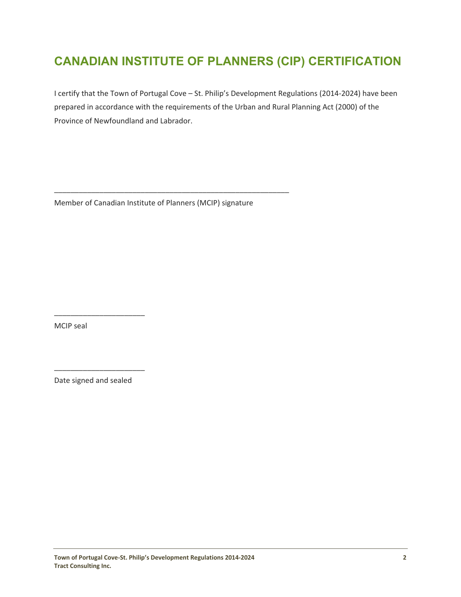## <span id="page-10-0"></span>**CANADIAN INSTITUTE OF PLANNERS (CIP) CERTIFICATION**

I certify that the Town of Portugal Cove – St. Philip's Development Regulations (2014‐2024) have been prepared in accordance with the requirements of the Urban and Rural Planning Act (2000) of the Province of Newfoundland and Labrador.

Member of Canadian Institute of Planners (MCIP) signature

\_\_\_\_\_\_\_\_\_\_\_\_\_\_\_\_\_\_\_\_\_\_\_\_\_\_\_\_\_\_\_\_\_\_\_\_\_\_\_\_\_\_\_\_\_\_\_\_\_\_\_\_\_\_\_\_\_

MCIP seal

Date signed and sealed

\_\_\_\_\_\_\_\_\_\_\_\_\_\_\_\_\_\_\_\_\_\_

\_\_\_\_\_\_\_\_\_\_\_\_\_\_\_\_\_\_\_\_\_\_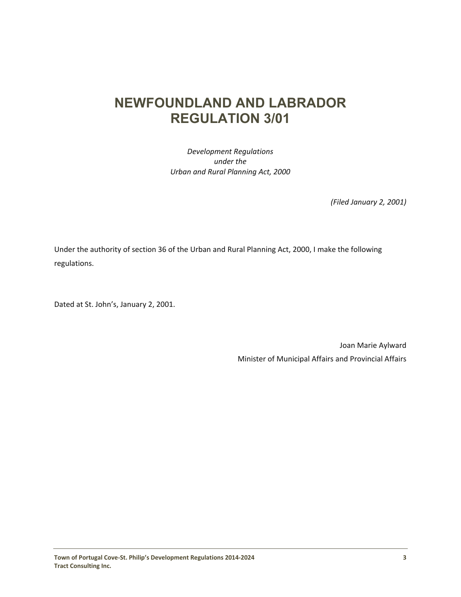## **NEWFOUNDLAND AND LABRADOR REGULATION 3/01**

*Development Regulations under the Urban and Rural Planning Act, 2000*

*(Filed January 2, 2001)*

Under the authority of section 36 of the Urban and Rural Planning Act, 2000, I make the following regulations.

Dated at St. John's, January 2, 2001.

Joan Marie Aylward Minister of Municipal Affairs and Provincial Affairs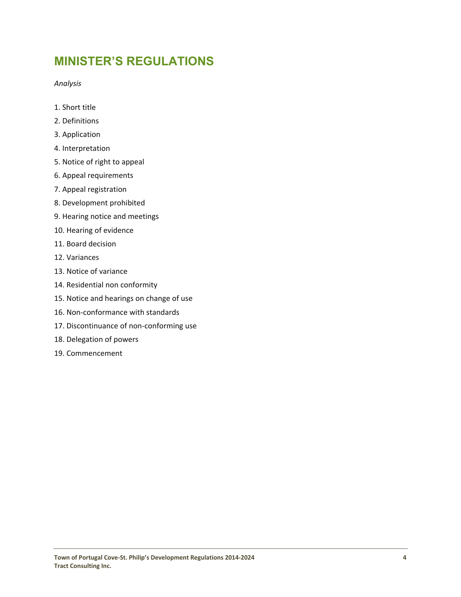## **MINISTER'S REGULATIONS**

*Analysis*

- 1. Short title
- 2. Definitions
- 3. Application
- 4. Interpretation
- 5. Notice of right to appeal
- 6. Appeal requirements
- 7. Appeal registration
- 8. Development prohibited
- 9. Hearing notice and meetings
- 10. Hearing of evidence
- 11. Board decision
- 12. Variances
- 13. Notice of variance
- 14. Residential non conformity
- 15. Notice and hearings on change of use
- 16. Non‐conformance with standards
- 17. Discontinuance of non-conforming use
- 18. Delegation of powers
- 19. Commencement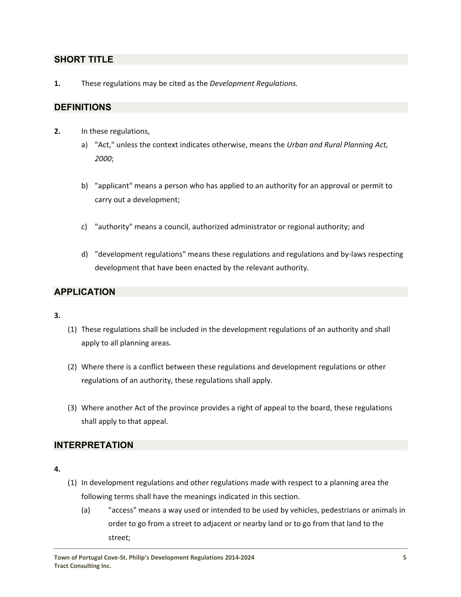### <span id="page-13-0"></span>**SHORT TITLE**

**1.**  These regulations may be cited as the *Development Regulations.*

#### **DEFINITIONS**

- **2.** In these regulations,
	- a) "Act," unless the context indicates otherwise, means the *Urban and Rural Planning Act, 2000*;
	- b) "applicant" means a person who has applied to an authority for an approval or permit to carry out a development;
	- c) "authority" means a council, authorized administrator or regional authority; and
	- d) "development regulations" means these regulations and regulations and by‐laws respecting development that have been enacted by the relevant authority.

## **APPLICATION**

#### **3.**

- (1) These regulations shall be included in the development regulations of an authority and shall apply to all planning areas.
- (2) Where there is a conflict between these regulations and development regulations or other regulations of an authority, these regulations shall apply.
- (3) Where another Act of the province provides a right of appeal to the board, these regulations shall apply to that appeal.

#### **INTERPRETATION**

#### **4.**

- (1) In development regulations and other regulations made with respect to a planning area the following terms shall have the meanings indicated in this section.
	- (a) "access" means a way used or intended to be used by vehicles, pedestrians or animals in order to go from a street to adjacent or nearby land or to go from that land to the street;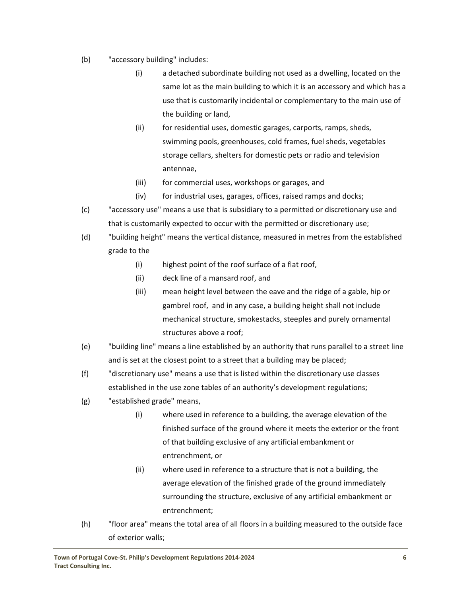- (b) "accessory building" includes:
	- (i) a detached subordinate building not used as a dwelling, located on the same lot as the main building to which it is an accessory and which has a use that is customarily incidental or complementary to the main use of the building or land,
	- (ii) for residential uses, domestic garages, carports, ramps, sheds, swimming pools, greenhouses, cold frames, fuel sheds, vegetables storage cellars, shelters for domestic pets or radio and television antennae,
	- (iii) for commercial uses, workshops or garages, and
	- (iv) for industrial uses, garages, offices, raised ramps and docks;
- (c) "accessory use" means a use that is subsidiary to a permitted or discretionary use and that is customarily expected to occur with the permitted or discretionary use;
- (d) "building height" means the vertical distance, measured in metres from the established grade to the
	- (i) highest point of the roof surface of a flat roof,
	- (ii) deck line of a mansard roof, and
	- (iii) mean height level between the eave and the ridge of a gable, hip or gambrel roof, and in any case, a building height shall not include mechanical structure, smokestacks, steeples and purely ornamental structures above a roof;
- (e) "building line" means a line established by an authority that runs parallel to a street line and is set at the closest point to a street that a building may be placed;
- (f) "discretionary use" means a use that is listed within the discretionary use classes established in the use zone tables of an authority's development regulations;
- (g) "established grade" means,
	- (i) where used in reference to a building, the average elevation of the finished surface of the ground where it meets the exterior or the front of that building exclusive of any artificial embankment or entrenchment, or
	- (ii) where used in reference to a structure that is not a building, the average elevation of the finished grade of the ground immediately surrounding the structure, exclusive of any artificial embankment or entrenchment;
- (h) "floor area" means the total area of all floors in a building measured to the outside face of exterior walls;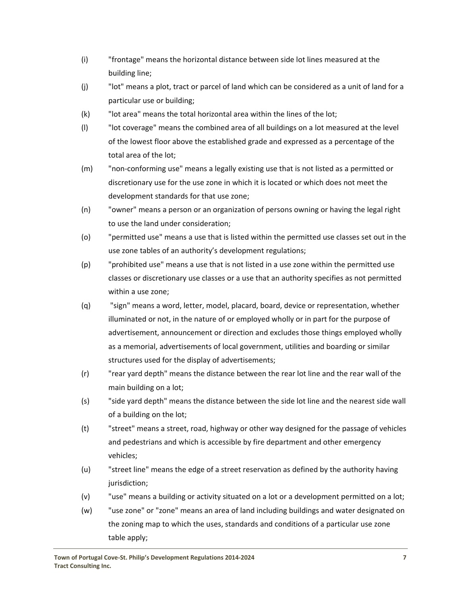- (i) "frontage" means the horizontal distance between side lot lines measured at the building line;
- (j) "lot" means a plot, tract or parcel of land which can be considered as a unit of land for a particular use or building;
- (k) "lot area" means the total horizontal area within the lines of the lot;
- (l) "lot coverage" means the combined area of all buildings on a lot measured at the level of the lowest floor above the established grade and expressed as a percentage of the total area of the lot;
- (m) "non‐conforming use" means a legally existing use that is not listed as a permitted or discretionary use for the use zone in which it is located or which does not meet the development standards for that use zone;
- (n) "owner" means a person or an organization of persons owning or having the legal right to use the land under consideration;
- (o) "permitted use" means a use that is listed within the permitted use classes set out in the use zone tables of an authority's development regulations;
- (p) "prohibited use" means a use that is not listed in a use zone within the permitted use classes or discretionary use classes or a use that an authority specifies as not permitted within a use zone;
- (q) "sign" means a word, letter, model, placard, board, device or representation, whether illuminated or not, in the nature of or employed wholly or in part for the purpose of advertisement, announcement or direction and excludes those things employed wholly as a memorial, advertisements of local government, utilities and boarding or similar structures used for the display of advertisements;
- (r) "rear yard depth" means the distance between the rear lot line and the rear wall of the main building on a lot;
- (s) "side yard depth" means the distance between the side lot line and the nearest side wall of a building on the lot;
- (t) "street" means a street, road, highway or other way designed for the passage of vehicles and pedestrians and which is accessible by fire department and other emergency vehicles;
- (u) "street line" means the edge of a street reservation as defined by the authority having jurisdiction;
- (v) "use" means a building or activity situated on a lot or a development permitted on a lot;
- (w) "use zone" or "zone" means an area of land including buildings and water designated on the zoning map to which the uses, standards and conditions of a particular use zone table apply;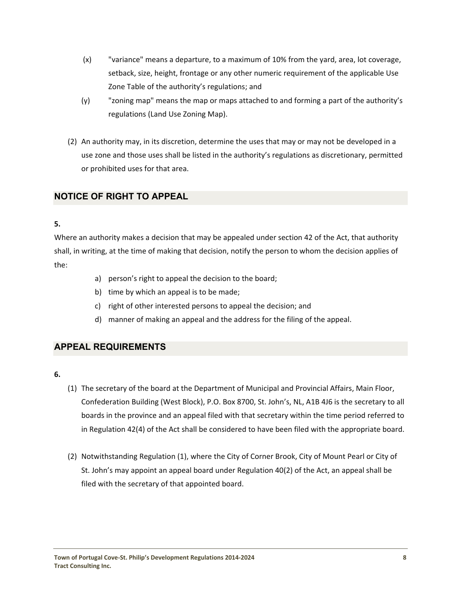- <span id="page-16-0"></span>(x) "variance" means a departure, to a maximum of 10% from the yard, area, lot coverage, setback, size, height, frontage or any other numeric requirement of the applicable Use Zone Table of the authority's regulations; and
- (y) "zoning map" means the map or maps attached to and forming a part of the authority's regulations (Land Use Zoning Map).
- (2) An authority may, in its discretion, determine the uses that may or may not be developed in a use zone and those uses shall be listed in the authority's regulations as discretionary, permitted or prohibited uses for that area.

## **NOTICE OF RIGHT TO APPEAL**

#### **5.**

Where an authority makes a decision that may be appealed under section 42 of the Act, that authority shall, in writing, at the time of making that decision, notify the person to whom the decision applies of the:

- a) person's right to appeal the decision to the board;
- b) time by which an appeal is to be made;
- c) right of other interested persons to appeal the decision; and
- d) manner of making an appeal and the address for the filing of the appeal.

### **APPEAL REQUIREMENTS**

- **6.**
- (1) The secretary of the board at the Department of Municipal and Provincial Affairs, Main Floor, Confederation Building (West Block), P.O. Box 8700, St. John's, NL, A1B 4J6 is the secretary to all boards in the province and an appeal filed with that secretary within the time period referred to in Regulation 42(4) of the Act shall be considered to have been filed with the appropriate board.
- (2) Notwithstanding Regulation (1), where the City of Corner Brook, City of Mount Pearl or City of St. John's may appoint an appeal board under Regulation 40(2) of the Act, an appeal shall be filed with the secretary of that appointed board.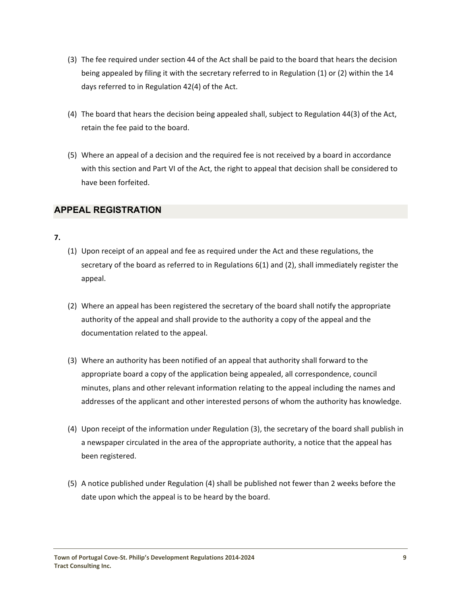- <span id="page-17-0"></span>(3) The fee required under section 44 of the Act shall be paid to the board that hears the decision being appealed by filing it with the secretary referred to in Regulation (1) or (2) within the 14 days referred to in Regulation 42(4) of the Act.
- (4) The board that hears the decision being appealed shall, subject to Regulation 44(3) of the Act, retain the fee paid to the board.
- (5) Where an appeal of a decision and the required fee is not received by a board in accordance with this section and Part VI of the Act, the right to appeal that decision shall be considered to have been forfeited.

## **APPEAL REGISTRATION**

#### **7.**

- (1) Upon receipt of an appeal and fee as required under the Act and these regulations, the secretary of the board as referred to in Regulations 6(1) and (2), shall immediately register the appeal.
- (2) Where an appeal has been registered the secretary of the board shall notify the appropriate authority of the appeal and shall provide to the authority a copy of the appeal and the documentation related to the appeal.
- (3) Where an authority has been notified of an appeal that authority shall forward to the appropriate board a copy of the application being appealed, all correspondence, council minutes, plans and other relevant information relating to the appeal including the names and addresses of the applicant and other interested persons of whom the authority has knowledge.
- (4) Upon receipt of the information under Regulation (3), the secretary of the board shall publish in a newspaper circulated in the area of the appropriate authority, a notice that the appeal has been registered.
- (5) A notice published under Regulation (4) shall be published not fewer than 2 weeks before the date upon which the appeal is to be heard by the board.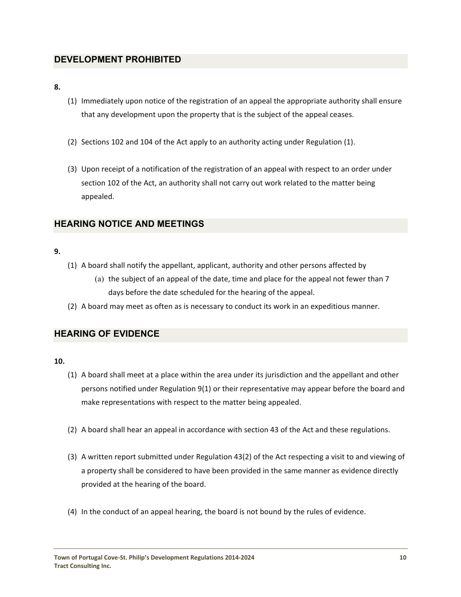## <span id="page-18-0"></span>**DEVELOPMENT PROHIBITED**

**8.** 

- (1) Immediately upon notice of the registration of an appeal the appropriate authority shall ensure that any development upon the property that is the subject of the appeal ceases.
- (2) Sections 102 and 104 of the Act apply to an authority acting under Regulation (1).
- (3) Upon receipt of a notification of the registration of an appeal with respect to an order under section 102 of the Act, an authority shall not carry out work related to the matter being appealed.

## **HEARING NOTICE AND MEETINGS**

#### **9.**

- (1) A board shall notify the appellant, applicant, authority and other persons affected by
	- (a) the subject of an appeal of the date, time and place for the appeal not fewer than 7 days before the date scheduled for the hearing of the appeal.
- (2) A board may meet as often as is necessary to conduct its work in an expeditious manner.

### **HEARING OF EVIDENCE**

**10.** 

- (1) A board shall meet at a place within the area under its jurisdiction and the appellant and other persons notified under Regulation 9(1) or their representative may appear before the board and make representations with respect to the matter being appealed.
- (2) A board shall hear an appeal in accordance with section 43 of the Act and these regulations.
- (3) A written report submitted under Regulation 43(2) of the Act respecting a visit to and viewing of a property shall be considered to have been provided in the same manner as evidence directly provided at the hearing of the board.
- (4) In the conduct of an appeal hearing, the board is not bound by the rules of evidence.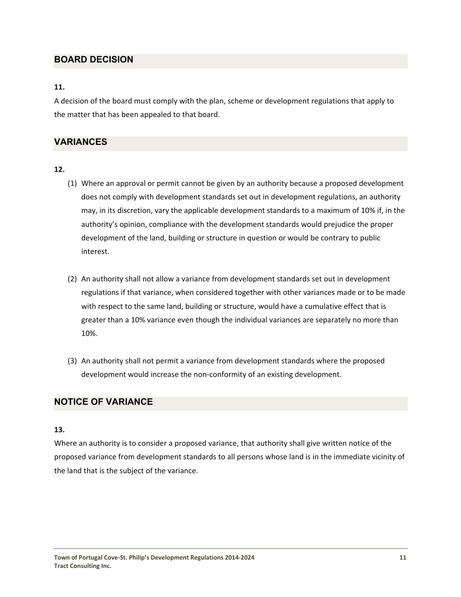## <span id="page-19-0"></span>**BOARD DECISION**

#### **11.**

A decision of the board must comply with the plan, scheme or development regulations that apply to the matter that has been appealed to that board.

### **VARIANCES**

#### **12.**

- (1) Where an approval or permit cannot be given by an authority because a proposed development does not comply with development standards set out in development regulations, an authority may, in its discretion, vary the applicable development standards to a maximum of 10% if, in the authority's opinion, compliance with the development standards would prejudice the proper development of the land, building or structure in question or would be contrary to public interest.
- (2) An authority shall not allow a variance from development standards set out in development regulations if that variance, when considered together with other variances made or to be made with respect to the same land, building or structure, would have a cumulative effect that is greater than a 10% variance even though the individual variances are separately no more than 10%.
- (3) An authority shall not permit a variance from development standards where the proposed development would increase the non‐conformity of an existing development.

### **NOTICE OF VARIANCE**

#### **13.**

Where an authority is to consider a proposed variance, that authority shall give written notice of the proposed variance from development standards to all persons whose land is in the immediate vicinity of the land that is the subject of the variance.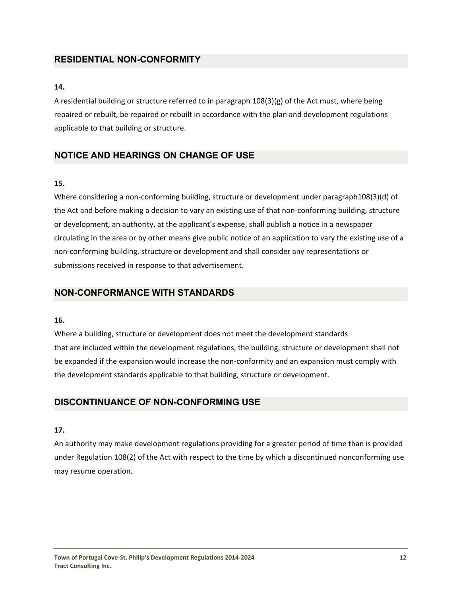## <span id="page-20-0"></span>**RESIDENTIAL NON-CONFORMITY**

#### **14.**

A residential building or structure referred to in paragraph  $108(3)(g)$  of the Act must, where being repaired or rebuilt, be repaired or rebuilt in accordance with the plan and development regulations applicable to that building or structure.

## **NOTICE AND HEARINGS ON CHANGE OF USE**

#### **15.**

Where considering a non-conforming building, structure or development under paragraph108(3)(d) of the Act and before making a decision to vary an existing use of that non-conforming building, structure or development, an authority, at the applicant's expense, shall publish a notice in a newspaper circulating in the area or by other means give public notice of an application to vary the existing use of a non‐conforming building, structure or development and shall consider any representations or submissions received in response to that advertisement.

## **NON-CONFORMANCE WITH STANDARDS**

#### **16.**

Where a building, structure or development does not meet the development standards that are included within the development regulations, the building, structure or development shall not be expanded if the expansion would increase the non-conformity and an expansion must comply with the development standards applicable to that building, structure or development.

### **DISCONTINUANCE OF NON-CONFORMING USE**

#### **17.**

An authority may make development regulations providing for a greater period of time than is provided under Regulation 108(2) of the Act with respect to the time by which a discontinued nonconforming use may resume operation.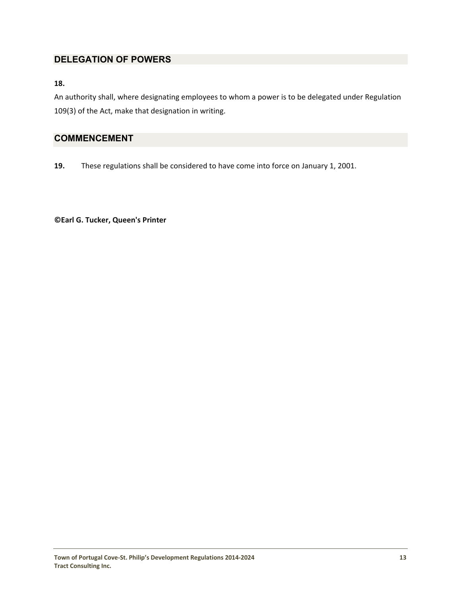## <span id="page-21-0"></span>**DELEGATION OF POWERS**

#### **18.**

An authority shall, where designating employees to whom a power is to be delegated under Regulation 109(3) of the Act, make that designation in writing.

## **COMMENCEMENT**

**19.**  These regulations shall be considered to have come into force on January 1, 2001.

**©Earl G. Tucker, Queen's Printer**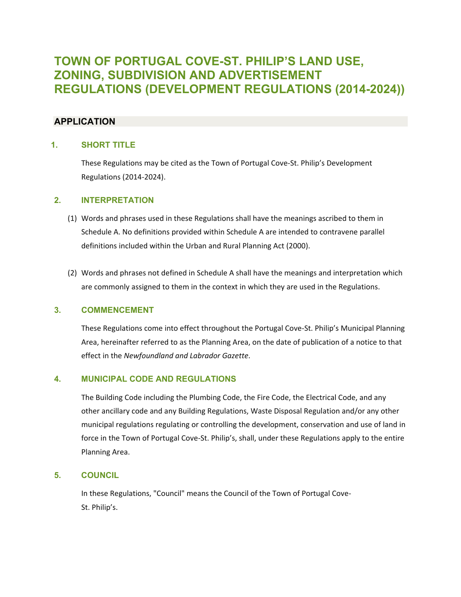## <span id="page-22-0"></span>**TOWN OF PORTUGAL COVE-ST. PHILIP'S LAND USE, ZONING, SUBDIVISION AND ADVERTISEMENT REGULATIONS (DEVELOPMENT REGULATIONS (2014-2024))**

### **APPLICATION**

#### **1. SHORT TITLE**

 These Regulations may be cited as the Town of Portugal Cove‐St. Philip's Development Regulations (2014‐2024).

#### **2. INTERPRETATION**

- (1) Words and phrases used in these Regulations shall have the meanings ascribed to them in Schedule A. No definitions provided within Schedule A are intended to contravene parallel definitions included within the Urban and Rural Planning Act (2000).
- (2) Words and phrases not defined in Schedule A shall have the meanings and interpretation which are commonly assigned to them in the context in which they are used in the Regulations.

#### **3. COMMENCEMENT**

These Regulations come into effect throughout the Portugal Cove‐St. Philip's Municipal Planning Area, hereinafter referred to as the Planning Area, on the date of publication of a notice to that effect in the *Newfoundland and Labrador Gazette*.

#### **4. MUNICIPAL CODE AND REGULATIONS**

The Building Code including the Plumbing Code, the Fire Code, the Electrical Code, and any other ancillary code and any Building Regulations, Waste Disposal Regulation and/or any other municipal regulations regulating or controlling the development, conservation and use of land in force in the Town of Portugal Cove-St. Philip's, shall, under these Regulations apply to the entire Planning Area.

#### **5. COUNCIL**

 In these Regulations, "Council" means the Council of the Town of Portugal Cove‐ St. Philip's.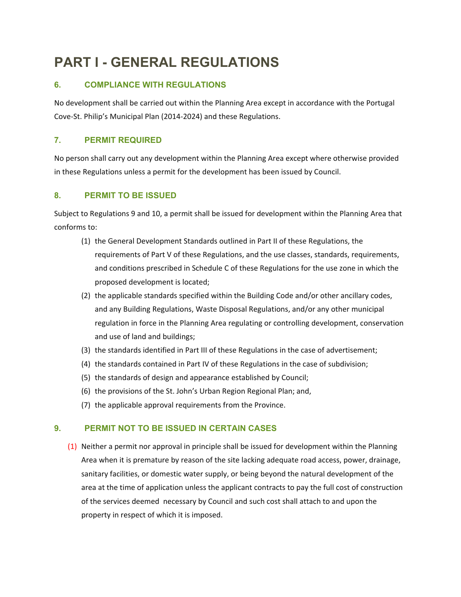# <span id="page-23-0"></span>**PART I - GENERAL REGULATIONS**

## **6. COMPLIANCE WITH REGULATIONS**

No development shall be carried out within the Planning Area except in accordance with the Portugal Cove‐St. Philip's Municipal Plan (2014‐2024) and these Regulations.

### **7. PERMIT REQUIRED**

No person shall carry out any development within the Planning Area except where otherwise provided in these Regulations unless a permit for the development has been issued by Council.

## **8. PERMIT TO BE ISSUED**

Subject to Regulations 9 and 10, a permit shall be issued for development within the Planning Area that conforms to:

- (1) the General Development Standards outlined in Part II of these Regulations, the requirements of Part V of these Regulations, and the use classes, standards, requirements, and conditions prescribed in Schedule C of these Regulations for the use zone in which the proposed development is located;
- (2) the applicable standards specified within the Building Code and/or other ancillary codes, and any Building Regulations, Waste Disposal Regulations, and/or any other municipal regulation in force in the Planning Area regulating or controlling development, conservation and use of land and buildings;
- (3) the standards identified in Part III of these Regulations in the case of advertisement;
- (4) the standards contained in Part IV of these Regulations in the case of subdivision;
- (5) the standards of design and appearance established by Council;
- (6) the provisions of the St. John's Urban Region Regional Plan; and,
- (7) the applicable approval requirements from the Province.

### **9. PERMIT NOT TO BE ISSUED IN CERTAIN CASES**

(1) Neither a permit nor approval in principle shall be issued for development within the Planning Area when it is premature by reason of the site lacking adequate road access, power, drainage, sanitary facilities, or domestic water supply, or being beyond the natural development of the area at the time of application unless the applicant contracts to pay the full cost of construction of the services deemed necessary by Council and such cost shall attach to and upon the property in respect of which it is imposed.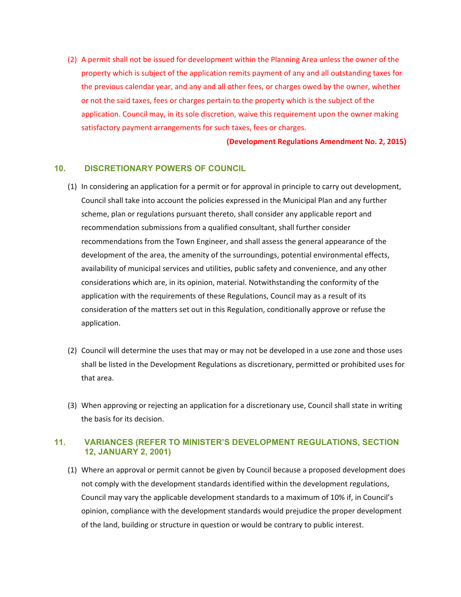<span id="page-24-0"></span>(2) A permit shall not be issued for development within the Planning Area unless the owner of the property which is subject of the application remits payment of any and all outstanding taxes for the previous calendar year, and any and all other fees, or charges owed by the owner, whether or not the said taxes, fees or charges pertain to the property which is the subject of the application. Council may, in its sole discretion, waive this requirement upon the owner making satisfactory payment arrangements for such taxes, fees or charges.

**(Development Regulations Amendment No. 2, 2015)**

#### **10. DISCRETIONARY POWERS OF COUNCIL**

- (1) In considering an application for a permit or for approval in principle to carry out development, Council shall take into account the policies expressed in the Municipal Plan and any further scheme, plan or regulations pursuant thereto, shall consider any applicable report and recommendation submissions from a qualified consultant, shall further consider recommendations from the Town Engineer, and shall assess the general appearance of the development of the area, the amenity of the surroundings, potential environmental effects, availability of municipal services and utilities, public safety and convenience, and any other considerations which are, in its opinion, material. Notwithstanding the conformity of the application with the requirements of these Regulations, Council may as a result of its consideration of the matters set out in this Regulation, conditionally approve or refuse the application.
- (2) Council will determine the uses that may or may not be developed in a use zone and those uses shall be listed in the Development Regulations as discretionary, permitted or prohibited uses for that area.
- (3) When approving or rejecting an application for a discretionary use, Council shall state in writing the basis for its decision.

#### **11. VARIANCES (REFER TO MINISTER'S DEVELOPMENT REGULATIONS, SECTION 12, JANUARY 2, 2001)**

(1) Where an approval or permit cannot be given by Council because a proposed development does not comply with the development standards identified within the development regulations, Council may vary the applicable development standards to a maximum of 10% if, in Council's opinion, compliance with the development standards would prejudice the proper development of the land, building or structure in question or would be contrary to public interest.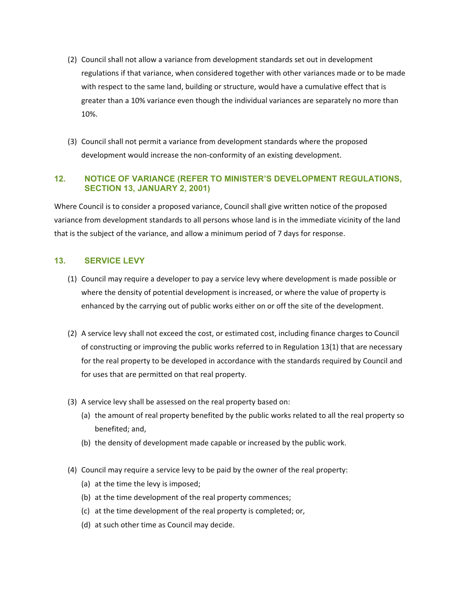- <span id="page-25-0"></span>(2) Council shall not allow a variance from development standards set out in development regulations if that variance, when considered together with other variances made or to be made with respect to the same land, building or structure, would have a cumulative effect that is greater than a 10% variance even though the individual variances are separately no more than 10%.
- (3) Council shall not permit a variance from development standards where the proposed development would increase the non‐conformity of an existing development.

#### **12. NOTICE OF VARIANCE (REFER TO MINISTER'S DEVELOPMENT REGULATIONS, SECTION 13, JANUARY 2, 2001)**

Where Council is to consider a proposed variance, Council shall give written notice of the proposed variance from development standards to all persons whose land is in the immediate vicinity of the land that is the subject of the variance, and allow a minimum period of 7 days for response.

#### **13. SERVICE LEVY**

- (1) Council may require a developer to pay a service levy where development is made possible or where the density of potential development is increased, or where the value of property is enhanced by the carrying out of public works either on or off the site of the development.
- (2) A service levy shall not exceed the cost, or estimated cost, including finance charges to Council of constructing or improving the public works referred to in Regulation 13(1) that are necessary for the real property to be developed in accordance with the standards required by Council and for uses that are permitted on that real property.
- (3) A service levy shall be assessed on the real property based on:
	- (a) the amount of real property benefited by the public works related to all the real property so benefited; and,
	- (b) the density of development made capable or increased by the public work.
- (4) Council may require a service levy to be paid by the owner of the real property:
	- (a) at the time the levy is imposed;
	- (b) at the time development of the real property commences;
	- (c) at the time development of the real property is completed; or,
	- (d) at such other time as Council may decide.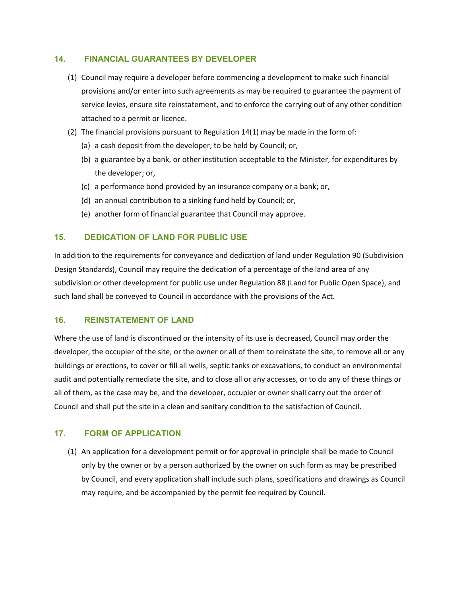#### <span id="page-26-0"></span>**14. FINANCIAL GUARANTEES BY DEVELOPER**

- (1) Council may require a developer before commencing a development to make such financial provisions and/or enter into such agreements as may be required to guarantee the payment of service levies, ensure site reinstatement, and to enforce the carrying out of any other condition attached to a permit or licence.
- (2) The financial provisions pursuant to Regulation 14(1) may be made in the form of:
	- (a) a cash deposit from the developer, to be held by Council; or,
	- (b) a guarantee by a bank, or other institution acceptable to the Minister, for expenditures by the developer; or,
	- (c) a performance bond provided by an insurance company or a bank; or,
	- (d) an annual contribution to a sinking fund held by Council; or,
	- (e) another form of financial guarantee that Council may approve.

#### **15. DEDICATION OF LAND FOR PUBLIC USE**

In addition to the requirements for conveyance and dedication of land under Regulation 90 (Subdivision Design Standards), Council may require the dedication of a percentage of the land area of any subdivision or other development for public use under Regulation 88 (Land for Public Open Space), and such land shall be conveyed to Council in accordance with the provisions of the Act.

#### **16. REINSTATEMENT OF LAND**

Where the use of land is discontinued or the intensity of its use is decreased, Council may order the developer, the occupier of the site, or the owner or all of them to reinstate the site, to remove all or any buildings or erections, to cover or fill all wells, septic tanks or excavations, to conduct an environmental audit and potentially remediate the site, and to close all or any accesses, or to do any of these things or all of them, as the case may be, and the developer, occupier or owner shall carry out the order of Council and shall put the site in a clean and sanitary condition to the satisfaction of Council.

#### **17. FORM OF APPLICATION**

(1) An application for a development permit or for approval in principle shall be made to Council only by the owner or by a person authorized by the owner on such form as may be prescribed by Council, and every application shall include such plans, specifications and drawings as Council may require, and be accompanied by the permit fee required by Council.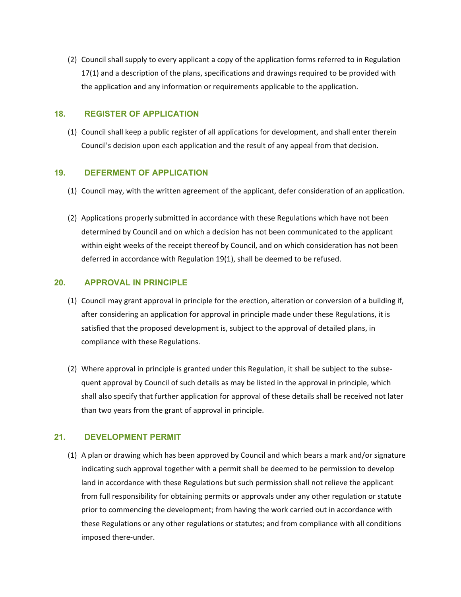<span id="page-27-0"></span>(2) Council shall supply to every applicant a copy of the application forms referred to in Regulation 17(1) and a description of the plans, specifications and drawings required to be provided with the application and any information or requirements applicable to the application.

#### **18. REGISTER OF APPLICATION**

(1) Council shall keep a public register of all applications for development, and shall enter therein Council's decision upon each application and the result of any appeal from that decision.

#### **19. DEFERMENT OF APPLICATION**

- (1) Council may, with the written agreement of the applicant, defer consideration of an application.
- (2) Applications properly submitted in accordance with these Regulations which have not been determined by Council and on which a decision has not been communicated to the applicant within eight weeks of the receipt thereof by Council, and on which consideration has not been deferred in accordance with Regulation 19(1), shall be deemed to be refused.

#### **20. APPROVAL IN PRINCIPLE**

- (1) Council may grant approval in principle for the erection, alteration or conversion of a building if, after considering an application for approval in principle made under these Regulations, it is satisfied that the proposed development is, subject to the approval of detailed plans, in compliance with these Regulations.
- (2) Where approval in principle is granted under this Regulation, it shall be subject to the subse‐ quent approval by Council of such details as may be listed in the approval in principle, which shall also specify that further application for approval of these details shall be received not later than two years from the grant of approval in principle.

#### **21. DEVELOPMENT PERMIT**

(1) A plan or drawing which has been approved by Council and which bears a mark and/or signature indicating such approval together with a permit shall be deemed to be permission to develop land in accordance with these Regulations but such permission shall not relieve the applicant from full responsibility for obtaining permits or approvals under any other regulation or statute prior to commencing the development; from having the work carried out in accordance with these Regulations or any other regulations or statutes; and from compliance with all conditions imposed there‐under.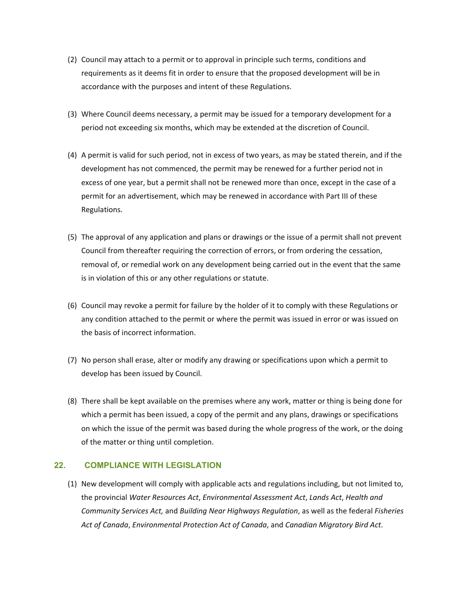- <span id="page-28-0"></span>(2) Council may attach to a permit or to approval in principle such terms, conditions and requirements as it deems fit in order to ensure that the proposed development will be in accordance with the purposes and intent of these Regulations.
- (3) Where Council deems necessary, a permit may be issued for a temporary development for a period not exceeding six months, which may be extended at the discretion of Council.
- (4) A permit is valid for such period, not in excess of two years, as may be stated therein, and if the development has not commenced, the permit may be renewed for a further period not in excess of one year, but a permit shall not be renewed more than once, except in the case of a permit for an advertisement, which may be renewed in accordance with Part III of these Regulations.
- (5) The approval of any application and plans or drawings or the issue of a permit shall not prevent Council from thereafter requiring the correction of errors, or from ordering the cessation, removal of, or remedial work on any development being carried out in the event that the same is in violation of this or any other regulations or statute.
- (6) Council may revoke a permit for failure by the holder of it to comply with these Regulations or any condition attached to the permit or where the permit was issued in error or was issued on the basis of incorrect information.
- (7) No person shall erase, alter or modify any drawing or specifications upon which a permit to develop has been issued by Council.
- (8) There shall be kept available on the premises where any work, matter or thing is being done for which a permit has been issued, a copy of the permit and any plans, drawings or specifications on which the issue of the permit was based during the whole progress of the work, or the doing of the matter or thing until completion.

#### **22. COMPLIANCE WITH LEGISLATION**

(1) New development will comply with applicable acts and regulations including, but not limited to, the provincial *Water Resources Act*, *Environmental Assessment Act*, *Lands Act*, *Health and Community Services Act,* and *Building Near Highways Regulation*, as well as the federal *Fisheries Act of Canada*, *Environmental Protection Act of Canada*, and *Canadian Migratory Bird Act.*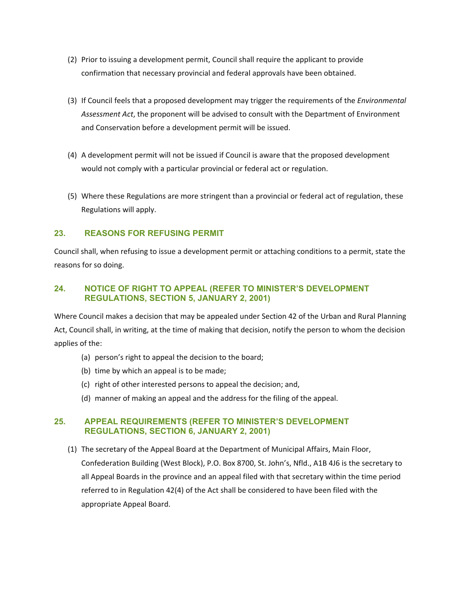- <span id="page-29-0"></span>(2) Prior to issuing a development permit, Council shall require the applicant to provide confirmation that necessary provincial and federal approvals have been obtained.
- (3) If Council feels that a proposed development may trigger the requirements of the *Environmental Assessment Act*, the proponent will be advised to consult with the Department of Environment and Conservation before a development permit will be issued.
- (4) A development permit will not be issued if Council is aware that the proposed development would not comply with a particular provincial or federal act or regulation.
- (5) Where these Regulations are more stringent than a provincial or federal act of regulation, these Regulations will apply.

#### **23. REASONS FOR REFUSING PERMIT**

Council shall, when refusing to issue a development permit or attaching conditions to a permit, state the reasons for so doing.

#### **24. NOTICE OF RIGHT TO APPEAL (REFER TO MINISTER'S DEVELOPMENT REGULATIONS, SECTION 5, JANUARY 2, 2001)**

Where Council makes a decision that may be appealed under Section 42 of the Urban and Rural Planning Act, Council shall, in writing, at the time of making that decision, notify the person to whom the decision applies of the:

- (a) person's right to appeal the decision to the board;
- (b) time by which an appeal is to be made;
- (c) right of other interested persons to appeal the decision; and,
- (d) manner of making an appeal and the address for the filing of the appeal.

#### **25. APPEAL REQUIREMENTS (REFER TO MINISTER'S DEVELOPMENT REGULATIONS, SECTION 6, JANUARY 2, 2001)**

(1) The secretary of the Appeal Board at the Department of Municipal Affairs, Main Floor, Confederation Building (West Block), P.O. Box 8700, St. John's, Nfld., A1B 4J6 is the secretary to all Appeal Boards in the province and an appeal filed with that secretary within the time period referred to in Regulation 42(4) of the Act shall be considered to have been filed with the appropriate Appeal Board.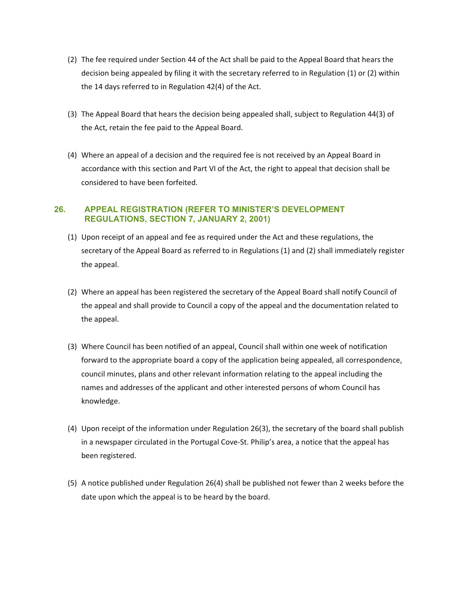- <span id="page-30-0"></span>(2) The fee required under Section 44 of the Act shall be paid to the Appeal Board that hears the decision being appealed by filing it with the secretary referred to in Regulation (1) or (2) within the 14 days referred to in Regulation 42(4) of the Act.
- (3) The Appeal Board that hears the decision being appealed shall, subject to Regulation 44(3) of the Act, retain the fee paid to the Appeal Board.
- (4) Where an appeal of a decision and the required fee is not received by an Appeal Board in accordance with this section and Part VI of the Act, the right to appeal that decision shall be considered to have been forfeited.

#### **26. APPEAL REGISTRATION (REFER TO MINISTER'S DEVELOPMENT REGULATIONS, SECTION 7, JANUARY 2, 2001)**

- (1) Upon receipt of an appeal and fee as required under the Act and these regulations, the secretary of the Appeal Board as referred to in Regulations (1) and (2) shall immediately register the appeal.
- (2) Where an appeal has been registered the secretary of the Appeal Board shall notify Council of the appeal and shall provide to Council a copy of the appeal and the documentation related to the appeal.
- (3) Where Council has been notified of an appeal, Council shall within one week of notification forward to the appropriate board a copy of the application being appealed, all correspondence, council minutes, plans and other relevant information relating to the appeal including the names and addresses of the applicant and other interested persons of whom Council has knowledge.
- (4) Upon receipt of the information under Regulation 26(3), the secretary of the board shall publish in a newspaper circulated in the Portugal Cove‐St. Philip's area, a notice that the appeal has been registered.
- (5) A notice published under Regulation 26(4) shall be published not fewer than 2 weeks before the date upon which the appeal is to be heard by the board.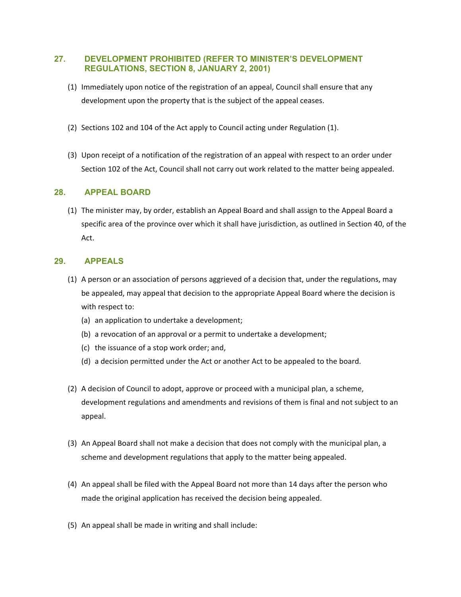#### <span id="page-31-0"></span>**27. DEVELOPMENT PROHIBITED (REFER TO MINISTER'S DEVELOPMENT REGULATIONS, SECTION 8, JANUARY 2, 2001)**

- (1) Immediately upon notice of the registration of an appeal, Council shall ensure that any development upon the property that is the subject of the appeal ceases.
- (2) Sections 102 and 104 of the Act apply to Council acting under Regulation (1).
- (3) Upon receipt of a notification of the registration of an appeal with respect to an order under Section 102 of the Act, Council shall not carry out work related to the matter being appealed.

#### **28. APPEAL BOARD**

(1) The minister may, by order, establish an Appeal Board and shall assign to the Appeal Board a specific area of the province over which it shall have jurisdiction, as outlined in Section 40, of the Act.

#### **29. APPEALS**

- (1) A person or an association of persons aggrieved of a decision that, under the regulations, may be appealed, may appeal that decision to the appropriate Appeal Board where the decision is with respect to:
	- (a) an application to undertake a development;
	- (b) a revocation of an approval or a permit to undertake a development;
	- (c) the issuance of a stop work order; and,
	- (d) a decision permitted under the Act or another Act to be appealed to the board.
- (2) A decision of Council to adopt, approve or proceed with a municipal plan, a scheme, development regulations and amendments and revisions of them is final and not subject to an appeal.
- (3) An Appeal Board shall not make a decision that does not comply with the municipal plan, a scheme and development regulations that apply to the matter being appealed.
- (4) An appeal shall be filed with the Appeal Board not more than 14 days after the person who made the original application has received the decision being appealed.
- (5) An appeal shall be made in writing and shall include: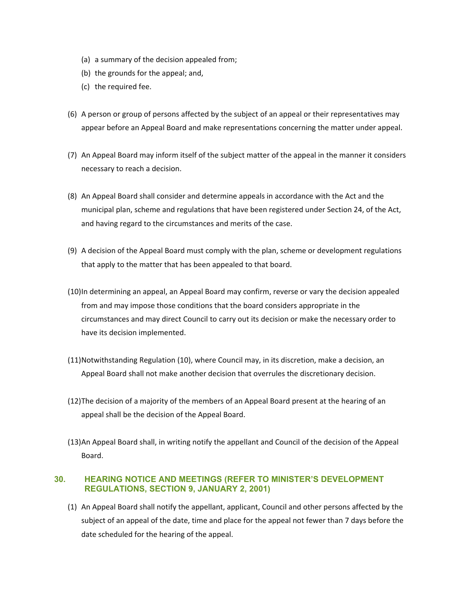- <span id="page-32-0"></span>(a) a summary of the decision appealed from;
- (b) the grounds for the appeal; and,
- (c) the required fee.
- (6) A person or group of persons affected by the subject of an appeal or their representatives may appear before an Appeal Board and make representations concerning the matter under appeal.
- (7) An Appeal Board may inform itself of the subject matter of the appeal in the manner it considers necessary to reach a decision.
- (8) An Appeal Board shall consider and determine appeals in accordance with the Act and the municipal plan, scheme and regulations that have been registered under Section 24, of the Act, and having regard to the circumstances and merits of the case.
- (9) A decision of the Appeal Board must comply with the plan, scheme or development regulations that apply to the matter that has been appealed to that board.
- (10)In determining an appeal, an Appeal Board may confirm, reverse or vary the decision appealed from and may impose those conditions that the board considers appropriate in the circumstances and may direct Council to carry out its decision or make the necessary order to have its decision implemented.
- (11)Notwithstanding Regulation (10), where Council may, in its discretion, make a decision, an Appeal Board shall not make another decision that overrules the discretionary decision.
- (12)The decision of a majority of the members of an Appeal Board present at the hearing of an appeal shall be the decision of the Appeal Board.
- (13)An Appeal Board shall, in writing notify the appellant and Council of the decision of the Appeal Board.

#### **30. HEARING NOTICE AND MEETINGS (REFER TO MINISTER'S DEVELOPMENT REGULATIONS, SECTION 9, JANUARY 2, 2001)**

(1) An Appeal Board shall notify the appellant, applicant, Council and other persons affected by the subject of an appeal of the date, time and place for the appeal not fewer than 7 days before the date scheduled for the hearing of the appeal.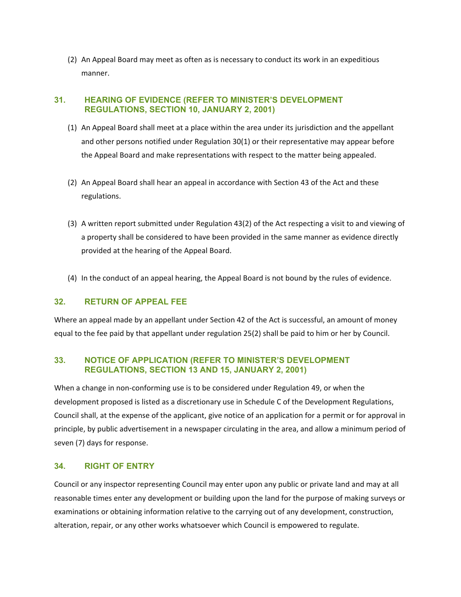<span id="page-33-0"></span>(2) An Appeal Board may meet as often as is necessary to conduct its work in an expeditious manner.

#### **31. HEARING OF EVIDENCE (REFER TO MINISTER'S DEVELOPMENT REGULATIONS, SECTION 10, JANUARY 2, 2001)**

- (1) An Appeal Board shall meet at a place within the area under its jurisdiction and the appellant and other persons notified under Regulation 30(1) or their representative may appear before the Appeal Board and make representations with respect to the matter being appealed.
- (2) An Appeal Board shall hear an appeal in accordance with Section 43 of the Act and these regulations.
- (3) A written report submitted under Regulation 43(2) of the Act respecting a visit to and viewing of a property shall be considered to have been provided in the same manner as evidence directly provided at the hearing of the Appeal Board.
- (4) In the conduct of an appeal hearing, the Appeal Board is not bound by the rules of evidence.

#### **32. RETURN OF APPEAL FEE**

Where an appeal made by an appellant under Section 42 of the Act is successful, an amount of money equal to the fee paid by that appellant under regulation 25(2) shall be paid to him or her by Council.

#### **33. NOTICE OF APPLICATION (REFER TO MINISTER'S DEVELOPMENT REGULATIONS, SECTION 13 AND 15, JANUARY 2, 2001)**

When a change in non-conforming use is to be considered under Regulation 49, or when the development proposed is listed as a discretionary use in Schedule C of the Development Regulations, Council shall, at the expense of the applicant, give notice of an application for a permit or for approval in principle, by public advertisement in a newspaper circulating in the area, and allow a minimum period of seven (7) days for response.

#### **34. RIGHT OF ENTRY**

Council or any inspector representing Council may enter upon any public or private land and may at all reasonable times enter any development or building upon the land for the purpose of making surveys or examinations or obtaining information relative to the carrying out of any development, construction, alteration, repair, or any other works whatsoever which Council is empowered to regulate.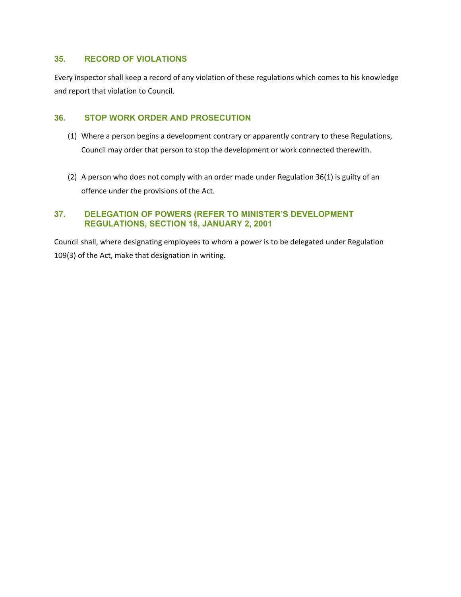#### **35. RECORD OF VIOLATIONS**

Every inspector shall keep a record of any violation of these regulations which comes to his knowledge and report that violation to Council.

#### **36. STOP WORK ORDER AND PROSECUTION**

- (1) Where a person begins a development contrary or apparently contrary to these Regulations, Council may order that person to stop the development or work connected therewith.
- (2) A person who does not comply with an order made under Regulation 36(1) is guilty of an offence under the provisions of the Act.

#### **37. DELEGATION OF POWERS (REFER TO MINISTER'S DEVELOPMENT REGULATIONS, SECTION 18, JANUARY 2, 2001**

Council shall, where designating employees to whom a power is to be delegated under Regulation 109(3) of the Act, make that designation in writing.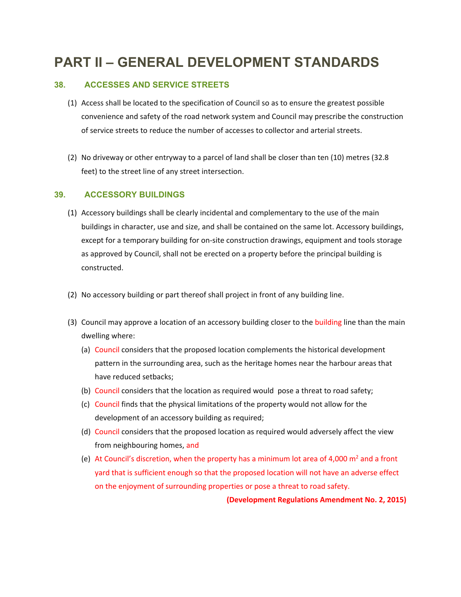# <span id="page-35-0"></span>**PART II – GENERAL DEVELOPMENT STANDARDS**

#### **38. ACCESSES AND SERVICE STREETS**

- (1) Access shall be located to the specification of Council so as to ensure the greatest possible convenience and safety of the road network system and Council may prescribe the construction of service streets to reduce the number of accesses to collector and arterial streets.
- (2) No driveway or other entryway to a parcel of land shall be closer than ten (10) metres (32.8 feet) to the street line of any street intersection.

#### **39. ACCESSORY BUILDINGS**

- (1) Accessory buildings shall be clearly incidental and complementary to the use of the main buildings in character, use and size, and shall be contained on the same lot. Accessory buildings, except for a temporary building for on-site construction drawings, equipment and tools storage as approved by Council, shall not be erected on a property before the principal building is constructed.
- (2) No accessory building or part thereof shall project in front of any building line.
- (3) Council may approve a location of an accessory building closer to the building line than the main dwelling where:
	- (a) Council considers that the proposed location complements the historical development pattern in the surrounding area, such as the heritage homes near the harbour areas that have reduced setbacks;
	- (b) Council considers that the location as required would pose a threat to road safety;
	- (c) Council finds that the physical limitations of the property would not allow for the development of an accessory building as required;
	- (d) Council considers that the proposed location as required would adversely affect the view from neighbouring homes, and
	- (e) At Council's discretion, when the property has a minimum lot area of 4,000  $m<sup>2</sup>$  and a front yard that is sufficient enough so that the proposed location will not have an adverse effect on the enjoyment of surrounding properties or pose a threat to road safety.

**(Development Regulations Amendment No. 2, 2015)**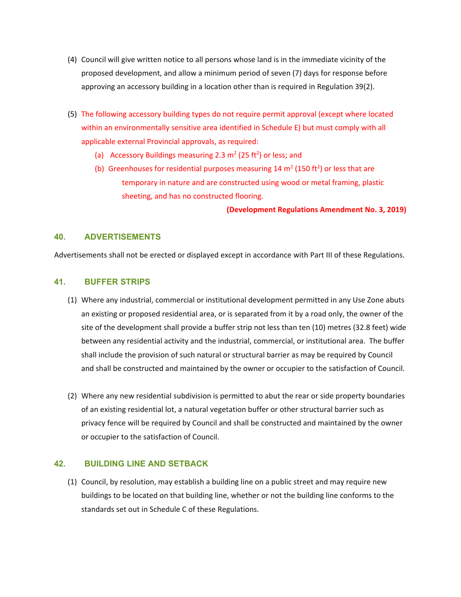- (4) Council will give written notice to all persons whose land is in the immediate vicinity of the proposed development, and allow a minimum period of seven (7) days for response before approving an accessory building in a location other than is required in Regulation 39(2).
- (5) The following accessory building types do not require permit approval (except where located within an environmentally sensitive area identified in Schedule E) but must comply with all applicable external Provincial approvals, as required:
	- (a) Accessory Buildings measuring 2.3  $m<sup>2</sup>$  (25 ft<sup>2</sup>) or less; and
	- (b) Greenhouses for residential purposes measuring 14  $m<sup>2</sup>$  (150 ft<sup>2</sup>) or less that are temporary in nature and are constructed using wood or metal framing, plastic sheeting, and has no constructed flooring.

**(Development Regulations Amendment No. 3, 2019)**

## **40. ADVERTISEMENTS**

Advertisements shall not be erected or displayed except in accordance with Part III of these Regulations.

# **41. BUFFER STRIPS**

- (1) Where any industrial, commercial or institutional development permitted in any Use Zone abuts an existing or proposed residential area, or is separated from it by a road only, the owner of the site of the development shall provide a buffer strip not less than ten (10) metres (32.8 feet) wide between any residential activity and the industrial, commercial, or institutional area. The buffer shall include the provision of such natural or structural barrier as may be required by Council and shall be constructed and maintained by the owner or occupier to the satisfaction of Council.
- (2) Where any new residential subdivision is permitted to abut the rear or side property boundaries of an existing residential lot, a natural vegetation buffer or other structural barrier such as privacy fence will be required by Council and shall be constructed and maintained by the owner or occupier to the satisfaction of Council.

## **42. BUILDING LINE AND SETBACK**

(1) Council, by resolution, may establish a building line on a public street and may require new buildings to be located on that building line, whether or not the building line conforms to the standards set out in Schedule C of these Regulations.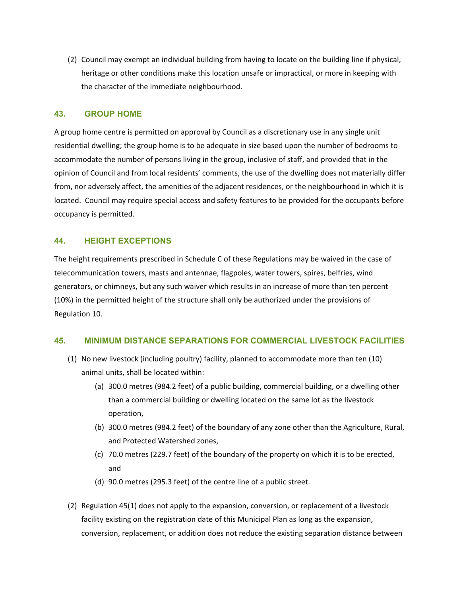(2) Council may exempt an individual building from having to locate on the building line if physical, heritage or other conditions make this location unsafe or impractical, or more in keeping with the character of the immediate neighbourhood.

## **43. GROUP HOME**

A group home centre is permitted on approval by Council as a discretionary use in any single unit residential dwelling; the group home is to be adequate in size based upon the number of bedrooms to accommodate the number of persons living in the group, inclusive of staff, and provided that in the opinion of Council and from local residents' comments, the use of the dwelling does not materially differ from, nor adversely affect, the amenities of the adjacent residences, or the neighbourhood in which it is located. Council may require special access and safety features to be provided for the occupants before occupancy is permitted.

## **44. HEIGHT EXCEPTIONS**

The height requirements prescribed in Schedule C of these Regulations may be waived in the case of telecommunication towers, masts and antennae, flagpoles, water towers, spires, belfries, wind generators, or chimneys, but any such waiver which results in an increase of more than ten percent (10%) in the permitted height of the structure shall only be authorized under the provisions of Regulation 10.

#### **45. MINIMUM DISTANCE SEPARATIONS FOR COMMERCIAL LIVESTOCK FACILITIES**

- (1) No new livestock (including poultry) facility, planned to accommodate more than ten (10) animal units, shall be located within:
	- (a) 300.0 metres (984.2 feet) of a public building, commercial building, or a dwelling other than a commercial building or dwelling located on the same lot as the livestock operation,
	- (b) 300.0 metres (984.2 feet) of the boundary of any zone other than the Agriculture, Rural, and Protected Watershed zones,
	- (c) 70.0 metres (229.7 feet) of the boundary of the property on which it is to be erected, and
	- (d) 90.0 metres (295.3 feet) of the centre line of a public street.
- (2) Regulation 45(1) does not apply to the expansion, conversion, or replacement of a livestock facility existing on the registration date of this Municipal Plan as long as the expansion, conversion, replacement, or addition does not reduce the existing separation distance between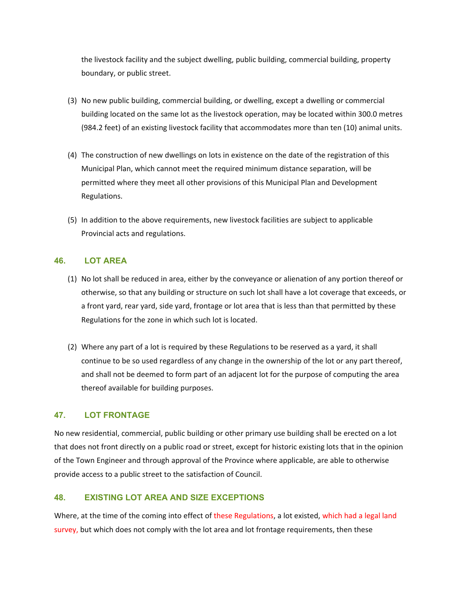the livestock facility and the subject dwelling, public building, commercial building, property boundary, or public street.

- (3) No new public building, commercial building, or dwelling, except a dwelling or commercial building located on the same lot as the livestock operation, may be located within 300.0 metres (984.2 feet) of an existing livestock facility that accommodates more than ten (10) animal units.
- (4) The construction of new dwellings on lots in existence on the date of the registration of this Municipal Plan, which cannot meet the required minimum distance separation, will be permitted where they meet all other provisions of this Municipal Plan and Development Regulations.
- (5) In addition to the above requirements, new livestock facilities are subject to applicable Provincial acts and regulations.

# **46. LOT AREA**

- (1) No lot shall be reduced in area, either by the conveyance or alienation of any portion thereof or otherwise, so that any building or structure on such lot shall have a lot coverage that exceeds, or a front yard, rear yard, side yard, frontage or lot area that is less than that permitted by these Regulations for the zone in which such lot is located.
- (2) Where any part of a lot is required by these Regulations to be reserved as a yard, it shall continue to be so used regardless of any change in the ownership of the lot or any part thereof, and shall not be deemed to form part of an adjacent lot for the purpose of computing the area thereof available for building purposes.

# **47. LOT FRONTAGE**

No new residential, commercial, public building or other primary use building shall be erected on a lot that does not front directly on a public road or street, except for historic existing lots that in the opinion of the Town Engineer and through approval of the Province where applicable, are able to otherwise provide access to a public street to the satisfaction of Council.

# **48. EXISTING LOT AREA AND SIZE EXCEPTIONS**

Where, at the time of the coming into effect of these Regulations, a lot existed, which had a legal land survey, but which does not comply with the lot area and lot frontage requirements, then these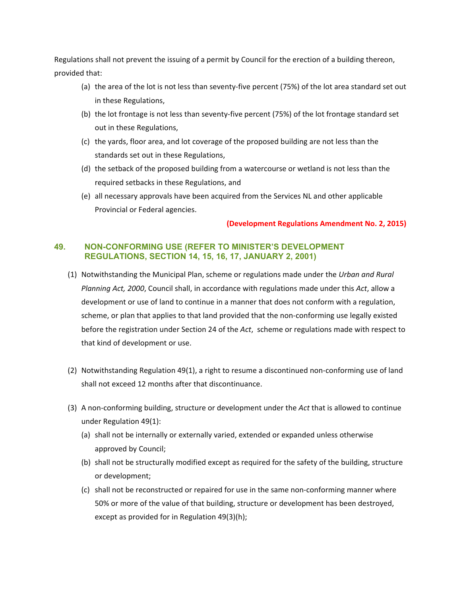Regulations shall not prevent the issuing of a permit by Council for the erection of a building thereon, provided that:

- (a) the area of the lot is not less than seventy‐five percent (75%) of the lot area standard set out in these Regulations,
- (b) the lot frontage is not less than seventy‐five percent (75%) of the lot frontage standard set out in these Regulations,
- (c) the yards, floor area, and lot coverage of the proposed building are not less than the standards set out in these Regulations,
- (d) the setback of the proposed building from a watercourse or wetland is not less than the required setbacks in these Regulations, and
- (e) all necessary approvals have been acquired from the Services NL and other applicable Provincial or Federal agencies.

# **(Development Regulations Amendment No. 2, 2015)**

# **49. NON-CONFORMING USE (REFER TO MINISTER'S DEVELOPMENT REGULATIONS, SECTION 14, 15, 16, 17, JANUARY 2, 2001)**

- (1) Notwithstanding the Municipal Plan, scheme or regulations made under the *Urban and Rural Planning Act, 2000*, Council shall, in accordance with regulations made under this *Act*, allow a development or use of land to continue in a manner that does not conform with a regulation, scheme, or plan that applies to that land provided that the non-conforming use legally existed before the registration under Section 24 of the *Act*, scheme or regulations made with respect to that kind of development or use.
- (2) Notwithstanding Regulation 49(1), a right to resume a discontinued non‐conforming use of land shall not exceed 12 months after that discontinuance.
- (3) A non‐conforming building, structure or development under the *Act* that is allowed to continue under Regulation 49(1):
	- (a) shall not be internally or externally varied, extended or expanded unless otherwise approved by Council;
	- (b) shall not be structurally modified except as required for the safety of the building, structure or development;
	- (c) shall not be reconstructed or repaired for use in the same non‐conforming manner where 50% or more of the value of that building, structure or development has been destroyed, except as provided for in Regulation 49(3)(h);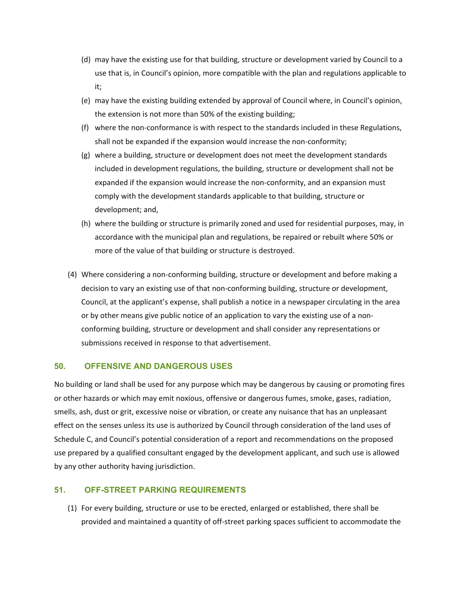- (d) may have the existing use for that building, structure or development varied by Council to a use that is, in Council's opinion, more compatible with the plan and regulations applicable to it;
- (e) may have the existing building extended by approval of Council where, in Council's opinion, the extension is not more than 50% of the existing building;
- (f) where the non‐conformance is with respect to the standards included in these Regulations, shall not be expanded if the expansion would increase the non-conformity;
- (g) where a building, structure or development does not meet the development standards included in development regulations, the building, structure or development shall not be expanded if the expansion would increase the non-conformity, and an expansion must comply with the development standards applicable to that building, structure or development; and,
- (h) where the building or structure is primarily zoned and used for residential purposes, may, in accordance with the municipal plan and regulations, be repaired or rebuilt where 50% or more of the value of that building or structure is destroyed.
- (4) Where considering a non‐conforming building, structure or development and before making a decision to vary an existing use of that non‐conforming building, structure or development, Council, at the applicant's expense, shall publish a notice in a newspaper circulating in the area or by other means give public notice of an application to vary the existing use of a non‐ conforming building, structure or development and shall consider any representations or submissions received in response to that advertisement.

## **50. OFFENSIVE AND DANGEROUS USES**

No building or land shall be used for any purpose which may be dangerous by causing or promoting fires or other hazards or which may emit noxious, offensive or dangerous fumes, smoke, gases, radiation, smells, ash, dust or grit, excessive noise or vibration, or create any nuisance that has an unpleasant effect on the senses unless its use is authorized by Council through consideration of the land uses of Schedule C, and Council's potential consideration of a report and recommendations on the proposed use prepared by a qualified consultant engaged by the development applicant, and such use is allowed by any other authority having jurisdiction.

## **51. OFF-STREET PARKING REQUIREMENTS**

(1) For every building, structure or use to be erected, enlarged or established, there shall be provided and maintained a quantity of off‐street parking spaces sufficient to accommodate the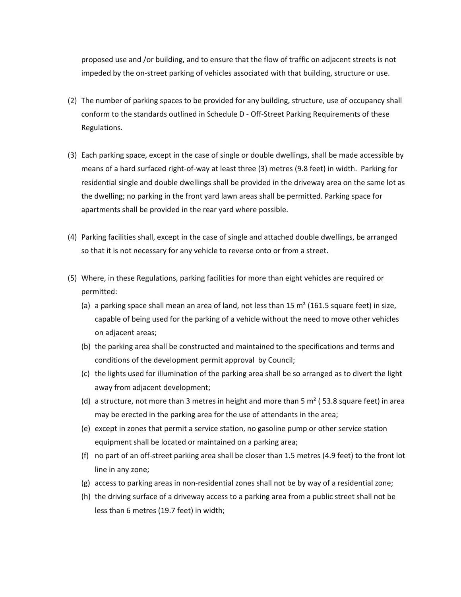proposed use and /or building, and to ensure that the flow of traffic on adjacent streets is not impeded by the on‐street parking of vehicles associated with that building, structure or use.

- (2) The number of parking spaces to be provided for any building, structure, use of occupancy shall conform to the standards outlined in Schedule D ‐ Off‐Street Parking Requirements of these Regulations.
- (3) Each parking space, except in the case of single or double dwellings, shall be made accessible by means of a hard surfaced right‐of‐way at least three (3) metres (9.8 feet) in width. Parking for residential single and double dwellings shall be provided in the driveway area on the same lot as the dwelling; no parking in the front yard lawn areas shall be permitted. Parking space for apartments shall be provided in the rear yard where possible.
- (4) Parking facilities shall, except in the case of single and attached double dwellings, be arranged so that it is not necessary for any vehicle to reverse onto or from a street.
- (5) Where, in these Regulations, parking facilities for more than eight vehicles are required or permitted:
	- (a) a parking space shall mean an area of land, not less than 15  $m<sup>2</sup>$  (161.5 square feet) in size, capable of being used for the parking of a vehicle without the need to move other vehicles on adjacent areas;
	- (b) the parking area shall be constructed and maintained to the specifications and terms and conditions of the development permit approval by Council;
	- (c) the lights used for illumination of the parking area shall be so arranged as to divert the light away from adjacent development;
	- (d) a structure, not more than 3 metres in height and more than 5  $\text{m}^2$  (53.8 square feet) in area may be erected in the parking area for the use of attendants in the area;
	- (e) except in zones that permit a service station, no gasoline pump or other service station equipment shall be located or maintained on a parking area;
	- (f) no part of an off‐street parking area shall be closer than 1.5 metres (4.9 feet) to the front lot line in any zone;
	- (g) access to parking areas in non‐residential zones shall not be by way of a residential zone;
	- (h) the driving surface of a driveway access to a parking area from a public street shall not be less than 6 metres (19.7 feet) in width;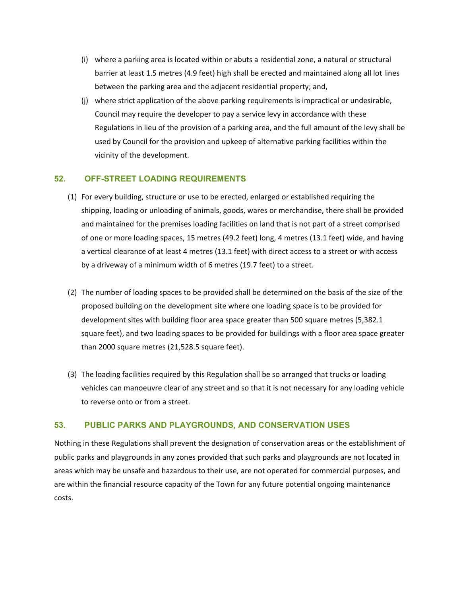- (i) where a parking area is located within or abuts a residential zone, a natural or structural barrier at least 1.5 metres (4.9 feet) high shall be erected and maintained along all lot lines between the parking area and the adjacent residential property; and,
- (j) where strict application of the above parking requirements is impractical or undesirable, Council may require the developer to pay a service levy in accordance with these Regulations in lieu of the provision of a parking area, and the full amount of the levy shall be used by Council for the provision and upkeep of alternative parking facilities within the vicinity of the development.

# **52. OFF-STREET LOADING REQUIREMENTS**

- (1) For every building, structure or use to be erected, enlarged or established requiring the shipping, loading or unloading of animals, goods, wares or merchandise, there shall be provided and maintained for the premises loading facilities on land that is not part of a street comprised of one or more loading spaces, 15 metres (49.2 feet) long, 4 metres (13.1 feet) wide, and having a vertical clearance of at least 4 metres (13.1 feet) with direct access to a street or with access by a driveway of a minimum width of 6 metres (19.7 feet) to a street.
- (2) The number of loading spaces to be provided shall be determined on the basis of the size of the proposed building on the development site where one loading space is to be provided for development sites with building floor area space greater than 500 square metres (5,382.1 square feet), and two loading spaces to be provided for buildings with a floor area space greater than 2000 square metres (21,528.5 square feet).
- (3) The loading facilities required by this Regulation shall be so arranged that trucks or loading vehicles can manoeuvre clear of any street and so that it is not necessary for any loading vehicle to reverse onto or from a street.

# **53. PUBLIC PARKS AND PLAYGROUNDS, AND CONSERVATION USES**

Nothing in these Regulations shall prevent the designation of conservation areas or the establishment of public parks and playgrounds in any zones provided that such parks and playgrounds are not located in areas which may be unsafe and hazardous to their use, are not operated for commercial purposes, and are within the financial resource capacity of the Town for any future potential ongoing maintenance costs.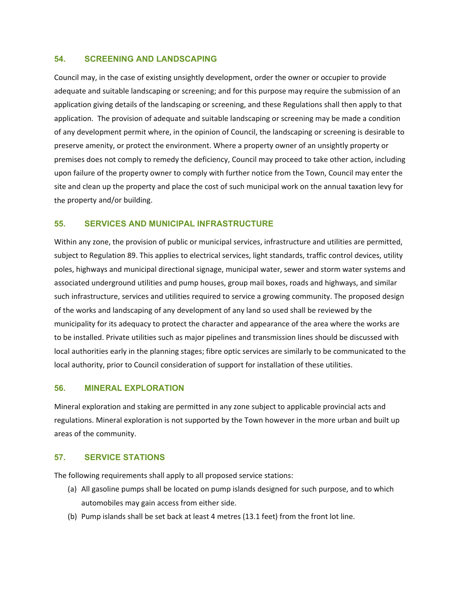## **54. SCREENING AND LANDSCAPING**

Council may, in the case of existing unsightly development, order the owner or occupier to provide adequate and suitable landscaping or screening; and for this purpose may require the submission of an application giving details of the landscaping or screening, and these Regulations shall then apply to that application. The provision of adequate and suitable landscaping or screening may be made a condition of any development permit where, in the opinion of Council, the landscaping or screening is desirable to preserve amenity, or protect the environment. Where a property owner of an unsightly property or premises does not comply to remedy the deficiency, Council may proceed to take other action, including upon failure of the property owner to comply with further notice from the Town, Council may enter the site and clean up the property and place the cost of such municipal work on the annual taxation levy for the property and/or building.

# **55. SERVICES AND MUNICIPAL INFRASTRUCTURE**

Within any zone, the provision of public or municipal services, infrastructure and utilities are permitted, subject to Regulation 89. This applies to electrical services, light standards, traffic control devices, utility poles, highways and municipal directional signage, municipal water, sewer and storm water systems and associated underground utilities and pump houses, group mail boxes, roads and highways, and similar such infrastructure, services and utilities required to service a growing community. The proposed design of the works and landscaping of any development of any land so used shall be reviewed by the municipality for its adequacy to protect the character and appearance of the area where the works are to be installed. Private utilities such as major pipelines and transmission lines should be discussed with local authorities early in the planning stages; fibre optic services are similarly to be communicated to the local authority, prior to Council consideration of support for installation of these utilities.

## **56. MINERAL EXPLORATION**

Mineral exploration and staking are permitted in any zone subject to applicable provincial acts and regulations. Mineral exploration is not supported by the Town however in the more urban and built up areas of the community.

# **57. SERVICE STATIONS**

The following requirements shall apply to all proposed service stations:

- (a) All gasoline pumps shall be located on pump islands designed for such purpose, and to which automobiles may gain access from either side.
- (b) Pump islands shall be set back at least 4 metres (13.1 feet) from the front lot line.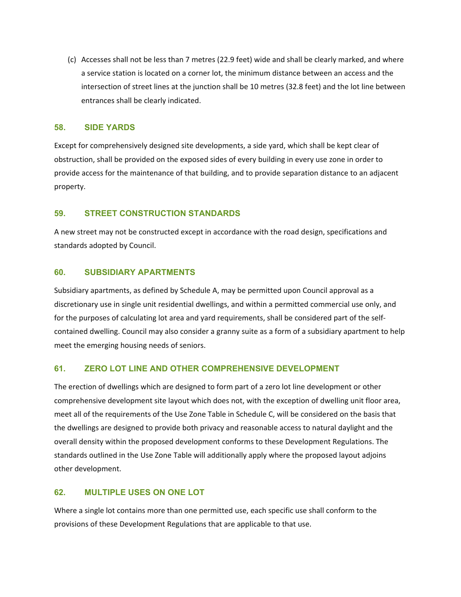(c) Accesses shall not be less than 7 metres (22.9 feet) wide and shall be clearly marked, and where a service station is located on a corner lot, the minimum distance between an access and the intersection of street lines at the junction shall be 10 metres (32.8 feet) and the lot line between entrances shall be clearly indicated.

## **58. SIDE YARDS**

Except for comprehensively designed site developments, a side yard, which shall be kept clear of obstruction, shall be provided on the exposed sides of every building in every use zone in order to provide access for the maintenance of that building, and to provide separation distance to an adjacent property.

# **59. STREET CONSTRUCTION STANDARDS**

A new street may not be constructed except in accordance with the road design, specifications and standards adopted by Council.

# **60. SUBSIDIARY APARTMENTS**

Subsidiary apartments, as defined by Schedule A, may be permitted upon Council approval as a discretionary use in single unit residential dwellings, and within a permitted commercial use only, and for the purposes of calculating lot area and yard requirements, shall be considered part of the self‐ contained dwelling. Council may also consider a granny suite as a form of a subsidiary apartment to help meet the emerging housing needs of seniors.

# **61. ZERO LOT LINE AND OTHER COMPREHENSIVE DEVELOPMENT**

The erection of dwellings which are designed to form part of a zero lot line development or other comprehensive development site layout which does not, with the exception of dwelling unit floor area, meet all of the requirements of the Use Zone Table in Schedule C, will be considered on the basis that the dwellings are designed to provide both privacy and reasonable access to natural daylight and the overall density within the proposed development conforms to these Development Regulations. The standards outlined in the Use Zone Table will additionally apply where the proposed layout adjoins other development.

# **62. MULTIPLE USES ON ONE LOT**

Where a single lot contains more than one permitted use, each specific use shall conform to the provisions of these Development Regulations that are applicable to that use.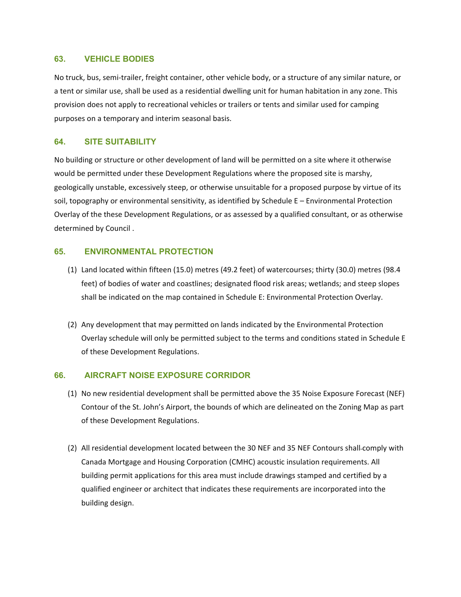## **63. VEHICLE BODIES**

No truck, bus, semi‐trailer, freight container, other vehicle body, or a structure of any similar nature, or a tent or similar use, shall be used as a residential dwelling unit for human habitation in any zone. This provision does not apply to recreational vehicles or trailers or tents and similar used for camping purposes on a temporary and interim seasonal basis.

## **64. SITE SUITABILITY**

No building or structure or other development of land will be permitted on a site where it otherwise would be permitted under these Development Regulations where the proposed site is marshy, geologically unstable, excessively steep, or otherwise unsuitable for a proposed purpose by virtue of its soil, topography or environmental sensitivity, as identified by Schedule E – Environmental Protection Overlay of the these Development Regulations, or as assessed by a qualified consultant, or as otherwise determined by Council .

# **65. ENVIRONMENTAL PROTECTION**

- (1) Land located within fifteen (15.0) metres (49.2 feet) of watercourses; thirty (30.0) metres (98.4 feet) of bodies of water and coastlines; designated flood risk areas; wetlands; and steep slopes shall be indicated on the map contained in Schedule E: Environmental Protection Overlay.
- (2) Any development that may permitted on lands indicated by the Environmental Protection Overlay schedule will only be permitted subject to the terms and conditions stated in Schedule E of these Development Regulations.

## **66. AIRCRAFT NOISE EXPOSURE CORRIDOR**

- (1) No new residential development shall be permitted above the 35 Noise Exposure Forecast (NEF) Contour of the St. John's Airport, the bounds of which are delineated on the Zoning Map as part of these Development Regulations.
- (2) All residential development located between the 30 NEF and 35 NEF Contours shall comply with Canada Mortgage and Housing Corporation (CMHC) acoustic insulation requirements. All building permit applications for this area must include drawings stamped and certified by a qualified engineer or architect that indicates these requirements are incorporated into the building design.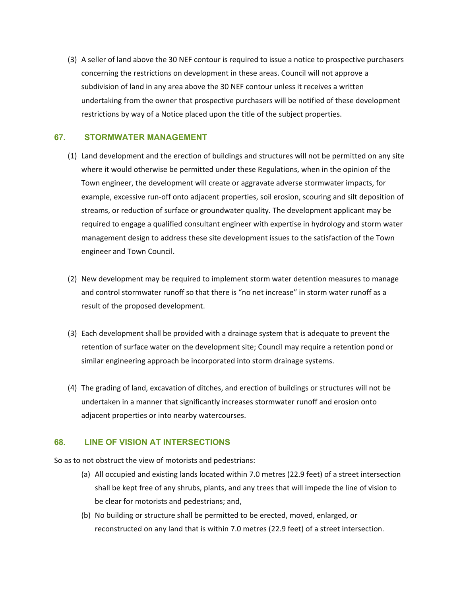(3) A seller of land above the 30 NEF contour is required to issue a notice to prospective purchasers concerning the restrictions on development in these areas. Council will not approve a subdivision of land in any area above the 30 NEF contour unless it receives a written undertaking from the owner that prospective purchasers will be notified of these development restrictions by way of a Notice placed upon the title of the subject properties.

# **67. STORMWATER MANAGEMENT**

- (1) Land development and the erection of buildings and structures will not be permitted on any site where it would otherwise be permitted under these Regulations, when in the opinion of the Town engineer, the development will create or aggravate adverse stormwater impacts, for example, excessive run-off onto adjacent properties, soil erosion, scouring and silt deposition of streams, or reduction of surface or groundwater quality. The development applicant may be required to engage a qualified consultant engineer with expertise in hydrology and storm water management design to address these site development issues to the satisfaction of the Town engineer and Town Council.
- (2) New development may be required to implement storm water detention measures to manage and control stormwater runoff so that there is "no net increase" in storm water runoff as a result of the proposed development.
- (3) Each development shall be provided with a drainage system that is adequate to prevent the retention of surface water on the development site; Council may require a retention pond or similar engineering approach be incorporated into storm drainage systems.
- (4) The grading of land, excavation of ditches, and erection of buildings or structures will not be undertaken in a manner that significantly increases stormwater runoff and erosion onto adjacent properties or into nearby watercourses.

# **68. LINE OF VISION AT INTERSECTIONS**

So as to not obstruct the view of motorists and pedestrians:

- (a) All occupied and existing lands located within 7.0 metres (22.9 feet) of a street intersection shall be kept free of any shrubs, plants, and any trees that will impede the line of vision to be clear for motorists and pedestrians; and,
- (b) No building or structure shall be permitted to be erected, moved, enlarged, or reconstructed on any land that is within 7.0 metres (22.9 feet) of a street intersection.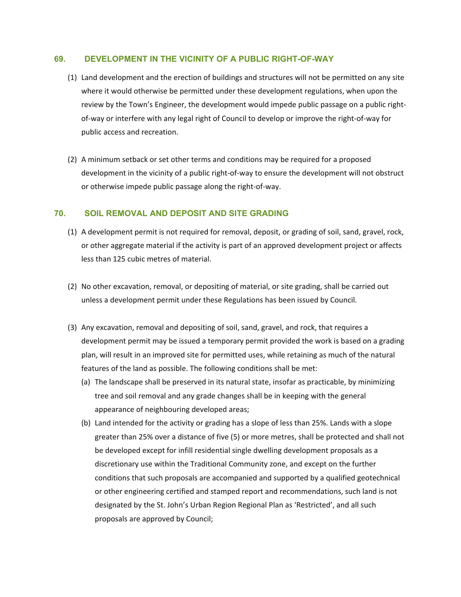## **69. DEVELOPMENT IN THE VICINITY OF A PUBLIC RIGHT-OF-WAY**

- (1) Land development and the erection of buildings and structures will not be permitted on any site where it would otherwise be permitted under these development regulations, when upon the review by the Town's Engineer, the development would impede public passage on a public right‐ of-way or interfere with any legal right of Council to develop or improve the right-of-way for public access and recreation.
- (2) A minimum setback or set other terms and conditions may be required for a proposed development in the vicinity of a public right‐of‐way to ensure the development will not obstruct or otherwise impede public passage along the right‐of‐way.

## **70. SOIL REMOVAL AND DEPOSIT AND SITE GRADING**

- (1) A development permit is not required for removal, deposit, or grading of soil, sand, gravel, rock, or other aggregate material if the activity is part of an approved development project or affects less than 125 cubic metres of material.
- (2) No other excavation, removal, or depositing of material, or site grading, shall be carried out unless a development permit under these Regulations has been issued by Council.
- (3) Any excavation, removal and depositing of soil, sand, gravel, and rock, that requires a development permit may be issued a temporary permit provided the work is based on a grading plan, will result in an improved site for permitted uses, while retaining as much of the natural features of the land as possible. The following conditions shall be met:
	- (a) The landscape shall be preserved in its natural state, insofar as practicable, by minimizing tree and soil removal and any grade changes shall be in keeping with the general appearance of neighbouring developed areas;
	- (b) Land intended for the activity or grading has a slope of less than 25%. Lands with a slope greater than 25% over a distance of five (5) or more metres, shall be protected and shall not be developed except for infill residential single dwelling development proposals as a discretionary use within the Traditional Community zone, and except on the further conditions that such proposals are accompanied and supported by a qualified geotechnical or other engineering certified and stamped report and recommendations, such land is not designated by the St. John's Urban Region Regional Plan as 'Restricted', and all such proposals are approved by Council;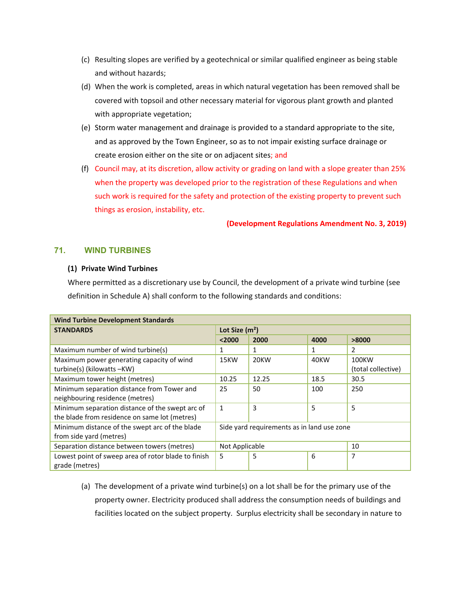- (c) Resulting slopes are verified by a geotechnical or similar qualified engineer as being stable and without hazards;
- (d) When the work is completed, areas in which natural vegetation has been removed shall be covered with topsoil and other necessary material for vigorous plant growth and planted with appropriate vegetation;
- (e) Storm water management and drainage is provided to a standard appropriate to the site, and as approved by the Town Engineer, so as to not impair existing surface drainage or create erosion either on the site or on adjacent sites; and
- (f) Council may, at its discretion, allow activity or grading on land with a slope greater than 25% when the property was developed prior to the registration of these Regulations and when such work is required for the safety and protection of the existing property to prevent such things as erosion, instability, etc.

**(Development Regulations Amendment No. 3, 2019)**

# **71. WIND TURBINES**

#### **(1) Private Wind Turbines**

Where permitted as a discretionary use by Council, the development of a private wind turbine (see definition in Schedule A) shall conform to the following standards and conditions:

| <b>Wind Turbine Development Standards</b>           |                                            |       |      |                    |
|-----------------------------------------------------|--------------------------------------------|-------|------|--------------------|
| <b>STANDARDS</b>                                    | Lot Size $(m2)$                            |       |      |                    |
|                                                     | < 2000                                     | 2000  | 4000 | >8000              |
| Maximum number of wind turbine(s)                   | 1                                          | 1     | 1    | $\mathcal{P}$      |
| Maximum power generating capacity of wind           | 15KW                                       | 20KW  | 40KW | 100KW              |
| turbine(s) (kilowatts -KW)                          |                                            |       |      | (total collective) |
| Maximum tower height (metres)                       | 10.25                                      | 12.25 | 18.5 | 30.5               |
| Minimum separation distance from Tower and          | 25                                         | 50    | 100  | 250                |
| neighbouring residence (metres)                     |                                            |       |      |                    |
| Minimum separation distance of the swept arc of     | $\mathbf{1}$                               | 3     | 5    | 5                  |
| the blade from residence on same lot (metres)       |                                            |       |      |                    |
| Minimum distance of the swept arc of the blade      | Side yard requirements as in land use zone |       |      |                    |
| from side yard (metres)                             |                                            |       |      |                    |
| Separation distance between towers (metres)         | 10<br>Not Applicable                       |       |      |                    |
| Lowest point of sweep area of rotor blade to finish | 5                                          | 5     | 6    | 7                  |
| grade (metres)                                      |                                            |       |      |                    |

(a) The development of a private wind turbine(s) on a lot shall be for the primary use of the property owner. Electricity produced shall address the consumption needs of buildings and facilities located on the subject property. Surplus electricity shall be secondary in nature to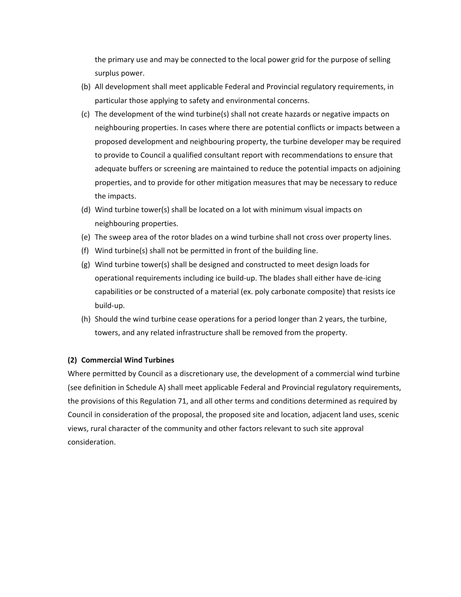the primary use and may be connected to the local power grid for the purpose of selling surplus power.

- (b) All development shall meet applicable Federal and Provincial regulatory requirements, in particular those applying to safety and environmental concerns.
- (c) The development of the wind turbine(s) shall not create hazards or negative impacts on neighbouring properties. In cases where there are potential conflicts or impacts between a proposed development and neighbouring property, the turbine developer may be required to provide to Council a qualified consultant report with recommendations to ensure that adequate buffers or screening are maintained to reduce the potential impacts on adjoining properties, and to provide for other mitigation measures that may be necessary to reduce the impacts.
- (d) Wind turbine tower(s) shall be located on a lot with minimum visual impacts on neighbouring properties.
- (e) The sweep area of the rotor blades on a wind turbine shall not cross over property lines.
- (f) Wind turbine(s) shall not be permitted in front of the building line.
- (g) Wind turbine tower(s) shall be designed and constructed to meet design loads for operational requirements including ice build‐up. The blades shall either have de‐icing capabilities or be constructed of a material (ex. poly carbonate composite) that resists ice build‐up.
- (h) Should the wind turbine cease operations for a period longer than 2 years, the turbine, towers, and any related infrastructure shall be removed from the property.

## **(2) Commercial Wind Turbines**

Where permitted by Council as a discretionary use, the development of a commercial wind turbine (see definition in Schedule A) shall meet applicable Federal and Provincial regulatory requirements, the provisions of this Regulation 71, and all other terms and conditions determined as required by Council in consideration of the proposal, the proposed site and location, adjacent land uses, scenic views, rural character of the community and other factors relevant to such site approval consideration.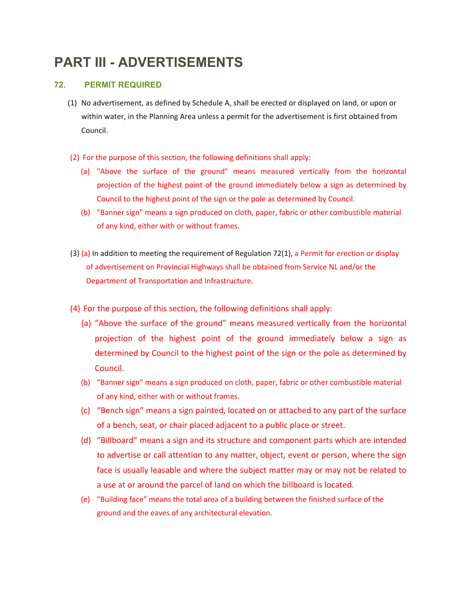# **PART III - ADVERTISEMENTS**

# **72. PERMIT REQUIRED**

- (1) No advertisement, as defined by Schedule A, shall be erected or displayed on land, or upon or within water, in the Planning Area unless a permit for the advertisement is first obtained from Council.
- (2) For the purpose of this section, the following definitions shall apply:
	- (a) "Above the surface of the ground" means measured vertically from the horizontal projection of the highest point of the ground immediately below a sign as determined by Council to the highest point of the sign or the pole as determined by Council.
	- (b) "Banner sign" means a sign produced on cloth, paper, fabric or other combustible material of any kind, either with or without frames.
- (3) (a) In addition to meeting the requirement of Regulation 72(1), a Permit for erection or display of advertisement on Provincial Highways shall be obtained from Service NL and/or the Department of Transportation and Infrastructure.
- (4) For the purpose of this section, the following definitions shall apply:
	- (a) "Above the surface of the ground" means measured vertically from the horizontal projection of the highest point of the ground immediately below a sign as determined by Council to the highest point of the sign or the pole as determined by Council.
	- (b) "Banner sign" means a sign produced on cloth, paper, fabric or other combustible material of any kind, either with or without frames.
	- (c) "Bench sign" means a sign painted, located on or attached to any part of the surface of a bench, seat, or chair placed adjacent to a public place or street.
	- (d) "Billboard" means a sign and its structure and component parts which are intended to advertise or call attention to any matter, object, event or person, where the sign face is usually leasable and where the subject matter may or may not be related to a use at or around the parcel of land on which the billboard is located.
	- (e) "Building face" means the total area of a building between the finished surface of the ground and the eaves of any architectural elevation.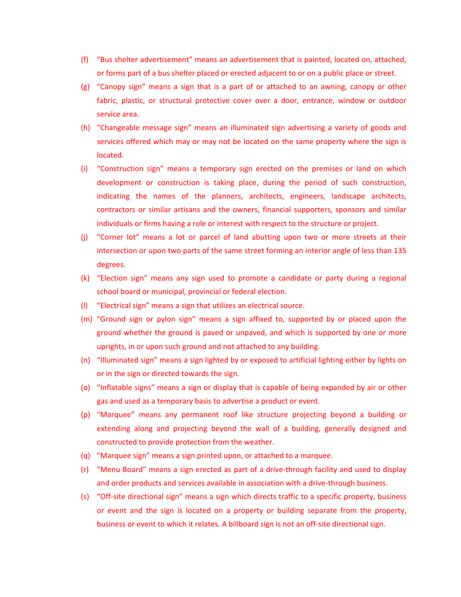- (f) "Bus shelter advertisement" means an advertisement that is painted, located on, attached, or forms part of a bus shelter placed or erected adjacent to or on a public place or street.
- (g) "Canopy sign" means a sign that is a part of or attached to an awning, canopy or other fabric, plastic, or structural protective cover over a door, entrance, window or outdoor service area.
- (h) "Changeable message sign" means an illuminated sign advertising a variety of goods and services offered which may or may not be located on the same property where the sign is located.
- (i) "Construction sign" means a temporary sign erected on the premises or land on which development or construction is taking place, during the period of such construction, indicating the names of the planners, architects, engineers, landscape architects, contractors or similar artisans and the owners, financial supporters, sponsors and similar individuals or firms having a role or interest with respect to the structure or project.
- (j) "Corner lot" means a lot or parcel of land abutting upon two or more streets at their intersection or upon two parts of the same street forming an interior angle of less than 135 degrees.
- (k) "Election sign" means any sign used to promote a candidate or party during a regional school board or municipal, provincial or federal election.
- (l) "Electrical sign" means a sign that utilizes an electrical source.
- (m) "Ground sign or pylon sign" means a sign affixed to, supported by or placed upon the ground whether the ground is paved or unpaved, and which is supported by one or more uprights, in or upon such ground and not attached to any building.
- (n) "Illuminated sign" means a sign lighted by or exposed to artificial lighting either by lights on or in the sign or directed towards the sign.
- (o) "Inflatable signs" means a sign or display that is capable of being expanded by air or other gas and used as a temporary basis to advertise a product or event.
- (p) "Marquee" means any permanent roof like structure projecting beyond a building or extending along and projecting beyond the wall of a building, generally designed and constructed to provide protection from the weather.
- (q) "Marquee sign" means a sign printed upon, or attached to a marquee.
- (r) "Menu Board" means a sign erected as part of a drive‐through facility and used to display and order products and services available in association with a drive-through business.
- (s) "Off‐site directional sign" means a sign which directs traffic to a specific property, business or event and the sign is located on a property or building separate from the property, business or event to which it relates. A billboard sign is not an off‐site directional sign.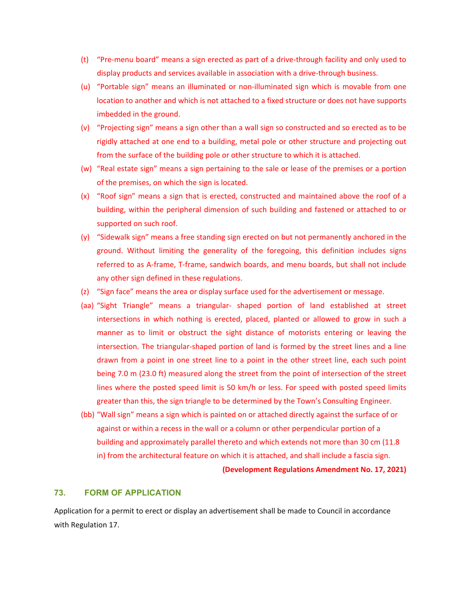- (t) "Pre‐menu board" means a sign erected as part of a drive‐through facility and only used to display products and services available in association with a drive‐through business.
- (u) "Portable sign" means an illuminated or non‐illuminated sign which is movable from one location to another and which is not attached to a fixed structure or does not have supports imbedded in the ground.
- (v) "Projecting sign" means a sign other than a wall sign so constructed and so erected as to be rigidly attached at one end to a building, metal pole or other structure and projecting out from the surface of the building pole or other structure to which it is attached.
- (w) "Real estate sign" means a sign pertaining to the sale or lease of the premises or a portion of the premises, on which the sign is located.
- (x) "Roof sign" means a sign that is erected, constructed and maintained above the roof of a building, within the peripheral dimension of such building and fastened or attached to or supported on such roof.
- (y) "Sidewalk sign" means a free standing sign erected on but not permanently anchored in the ground. Without limiting the generality of the foregoing, this definition includes signs referred to as A‐frame, T‐frame, sandwich boards, and menu boards, but shall not include any other sign defined in these regulations.
- (z) "Sign face" means the area or display surface used for the advertisement or message.
- (aa) "Sight Triangle" means a triangular‐ shaped portion of land established at street intersections in which nothing is erected, placed, planted or allowed to grow in such a manner as to limit or obstruct the sight distance of motorists entering or leaving the intersection. The triangular‐shaped portion of land is formed by the street lines and a line drawn from a point in one street line to a point in the other street line, each such point being 7.0 m (23.0 ft) measured along the street from the point of intersection of the street lines where the posted speed limit is 50 km/h or less. For speed with posted speed limits greater than this, the sign triangle to be determined by the Town's Consulting Engineer.
- (bb) "Wall sign" means a sign which is painted on or attached directly against the surface of or against or within a recess in the wall or a column or other perpendicular portion of a building and approximately parallel thereto and which extends not more than 30 cm (11.8 in) from the architectural feature on which it is attached, and shall include a fascia sign.

**(Development Regulations Amendment No. 17, 2021)**

#### **73. FORM OF APPLICATION**

Application for a permit to erect or display an advertisement shall be made to Council in accordance with Regulation 17.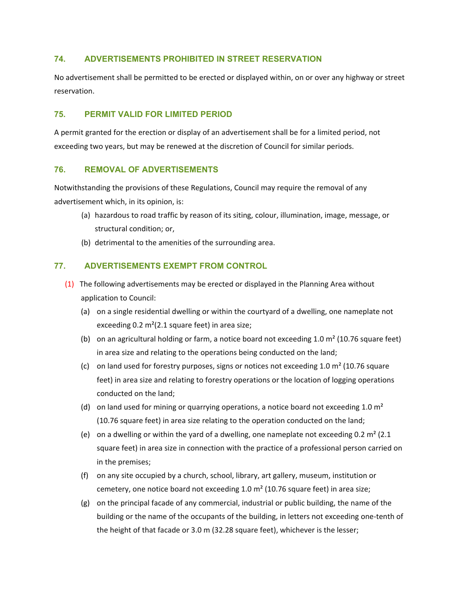# **74. ADVERTISEMENTS PROHIBITED IN STREET RESERVATION**

No advertisement shall be permitted to be erected or displayed within, on or over any highway or street reservation.

# **75. PERMIT VALID FOR LIMITED PERIOD**

A permit granted for the erection or display of an advertisement shall be for a limited period, not exceeding two years, but may be renewed at the discretion of Council for similar periods.

# **76. REMOVAL OF ADVERTISEMENTS**

Notwithstanding the provisions of these Regulations, Council may require the removal of any advertisement which, in its opinion, is:

- (a) hazardous to road traffic by reason of its siting, colour, illumination, image, message, or structural condition; or,
- (b) detrimental to the amenities of the surrounding area.

# **77. ADVERTISEMENTS EXEMPT FROM CONTROL**

- (1) The following advertisements may be erected or displayed in the Planning Area without application to Council:
	- (a) on a single residential dwelling or within the courtyard of a dwelling, one nameplate not exceeding 0.2  $m<sup>2</sup>(2.1 square feet)$  in area size;
	- (b) on an agricultural holding or farm, a notice board not exceeding 1.0  $m<sup>2</sup>$  (10.76 square feet) in area size and relating to the operations being conducted on the land;
	- (c) on land used for forestry purposes, signs or notices not exceeding 1.0  $m<sup>2</sup>$  (10.76 square feet) in area size and relating to forestry operations or the location of logging operations conducted on the land;
	- (d) on land used for mining or quarrying operations, a notice board not exceeding 1.0  $m<sup>2</sup>$ (10.76 square feet) in area size relating to the operation conducted on the land;
	- (e) on a dwelling or within the yard of a dwelling, one nameplate not exceeding 0.2  $m^2$  (2.1) square feet) in area size in connection with the practice of a professional person carried on in the premises;
	- (f) on any site occupied by a church, school, library, art gallery, museum, institution or cemetery, one notice board not exceeding 1.0 m² (10.76 square feet) in area size;
	- (g) on the principal facade of any commercial, industrial or public building, the name of the building or the name of the occupants of the building, in letters not exceeding one‐tenth of the height of that facade or 3.0 m (32.28 square feet), whichever is the lesser;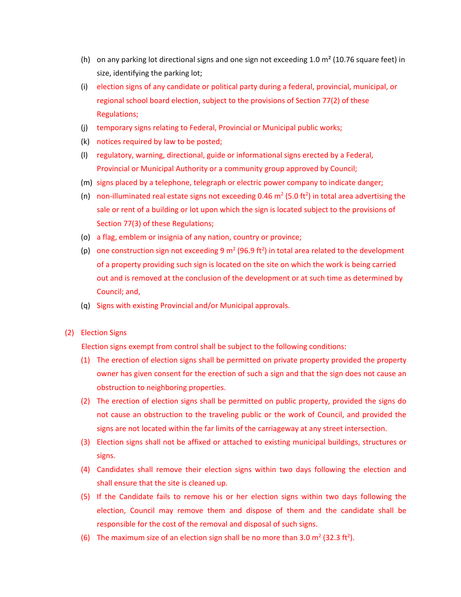- (h) on any parking lot directional signs and one sign not exceeding 1.0  $\text{m}^2$  (10.76 square feet) in size, identifying the parking lot;
- (i) election signs of any candidate or political party during a federal, provincial, municipal, or regional school board election, subject to the provisions of Section 77(2) of these Regulations;
- (j) temporary signs relating to Federal, Provincial or Municipal public works;
- (k) notices required by law to be posted;
- (l) regulatory, warning, directional, guide or informational signs erected by a Federal, Provincial or Municipal Authority or a community group approved by Council;
- (m) signs placed by a telephone, telegraph or electric power company to indicate danger;
- (n) non-illuminated real estate signs not exceeding 0.46  $m^2$  (5.0 ft<sup>2</sup>) in total area advertising the sale or rent of a building or lot upon which the sign is located subject to the provisions of Section 77(3) of these Regulations;
- (o) a flag, emblem or insignia of any nation, country or province;
- (p) one construction sign not exceeding 9 m<sup>2</sup> (96.9 ft<sup>2</sup>) in total area related to the development of a property providing such sign is located on the site on which the work is being carried out and is removed at the conclusion of the development or at such time as determined by Council; and,
- (q) Signs with existing Provincial and/or Municipal approvals.
- (2) Election Signs

Election signs exempt from control shall be subject to the following conditions:

- (1) The erection of election signs shall be permitted on private property provided the property owner has given consent for the erection of such a sign and that the sign does not cause an obstruction to neighboring properties.
- (2) The erection of election signs shall be permitted on public property, provided the signs do not cause an obstruction to the traveling public or the work of Council, and provided the signs are not located within the far limits of the carriageway at any street intersection.
- (3) Election signs shall not be affixed or attached to existing municipal buildings, structures or signs.
- (4) Candidates shall remove their election signs within two days following the election and shall ensure that the site is cleaned up.
- (5) If the Candidate fails to remove his or her election signs within two days following the election, Council may remove them and dispose of them and the candidate shall be responsible for the cost of the removal and disposal of such signs.
- (6) The maximum size of an election sign shall be no more than 3.0  $m^2$  (32.3 ft<sup>2</sup>).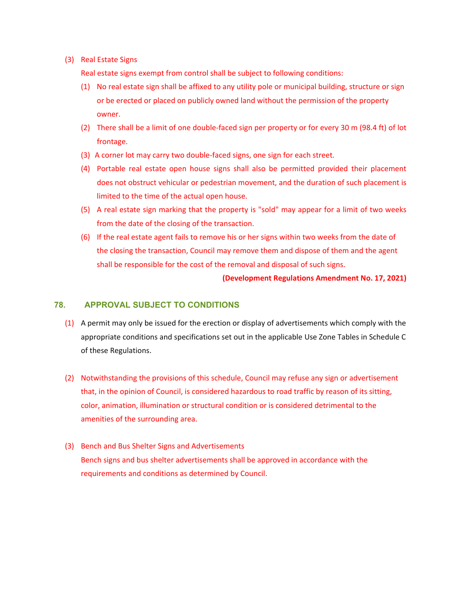(3) Real Estate Signs

Real estate signs exempt from control shall be subject to following conditions:

- (1) No real estate sign shall be affixed to any utility pole or municipal building, structure or sign or be erected or placed on publicly owned land without the permission of the property owner.
- (2) There shall be a limit of one double‐faced sign per property or for every 30 m (98.4 ft) of lot frontage.
- (3) A corner lot may carry two double‐faced signs, one sign for each street.
- (4) Portable real estate open house signs shall also be permitted provided their placement does not obstruct vehicular or pedestrian movement, and the duration of such placement is limited to the time of the actual open house.
- (5) A real estate sign marking that the property is "sold" may appear for a limit of two weeks from the date of the closing of the transaction.
- (6) If the real estate agent fails to remove his or her signs within two weeks from the date of the closing the transaction, Council may remove them and dispose of them and the agent shall be responsible for the cost of the removal and disposal of such signs.

**(Development Regulations Amendment No. 17, 2021)**

## **78. APPROVAL SUBJECT TO CONDITIONS**

- (1) A permit may only be issued for the erection or display of advertisements which comply with the appropriate conditions and specifications set out in the applicable Use Zone Tables in Schedule C of these Regulations.
- (2) Notwithstanding the provisions of this schedule, Council may refuse any sign or advertisement that, in the opinion of Council, is considered hazardous to road traffic by reason of its sitting, color, animation, illumination or structural condition or is considered detrimental to the amenities of the surrounding area.
- (3) Bench and Bus Shelter Signs and Advertisements Bench signs and bus shelter advertisements shall be approved in accordance with the requirements and conditions as determined by Council.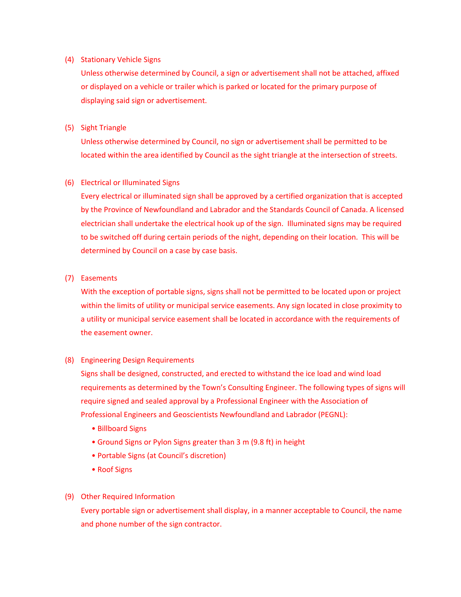#### (4) Stationary Vehicle Signs

Unless otherwise determined by Council, a sign or advertisement shall not be attached, affixed or displayed on a vehicle or trailer which is parked or located for the primary purpose of displaying said sign or advertisement.

## (5) Sight Triangle

Unless otherwise determined by Council, no sign or advertisement shall be permitted to be located within the area identified by Council as the sight triangle at the intersection of streets.

# (6) Electrical or Illuminated Signs

Every electrical or illuminated sign shall be approved by a certified organization that is accepted by the Province of Newfoundland and Labrador and the Standards Council of Canada. A licensed electrician shall undertake the electrical hook up of the sign. Illuminated signs may be required to be switched off during certain periods of the night, depending on their location. This will be determined by Council on a case by case basis.

# (7) Easements

With the exception of portable signs, signs shall not be permitted to be located upon or project within the limits of utility or municipal service easements. Any sign located in close proximity to a utility or municipal service easement shall be located in accordance with the requirements of the easement owner.

## (8) Engineering Design Requirements

Signs shall be designed, constructed, and erected to withstand the ice load and wind load requirements as determined by the Town's Consulting Engineer. The following types of signs will require signed and sealed approval by a Professional Engineer with the Association of Professional Engineers and Geoscientists Newfoundland and Labrador (PEGNL):

- Billboard Signs
- Ground Signs or Pylon Signs greater than 3 m (9.8 ft) in height
- Portable Signs (at Council's discretion)
- Roof Signs

## (9) Other Required Information

Every portable sign or advertisement shall display, in a manner acceptable to Council, the name and phone number of the sign contractor.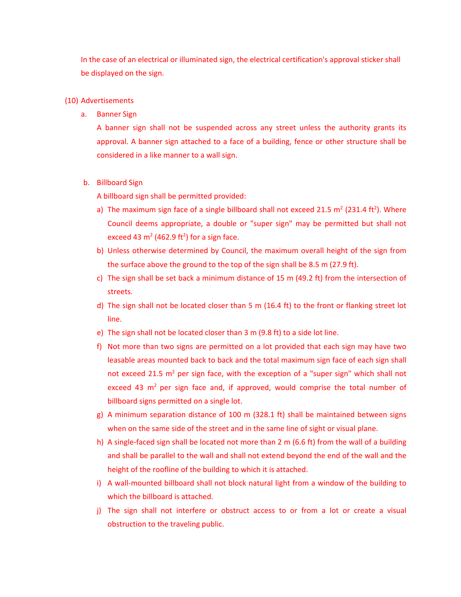In the case of an electrical or illuminated sign, the electrical certification's approval sticker shall be displayed on the sign.

#### (10) Advertisements

a. Banner Sign

A banner sign shall not be suspended across any street unless the authority grants its approval. A banner sign attached to a face of a building, fence or other structure shall be considered in a like manner to a wall sign.

#### b. Billboard Sign

A billboard sign shall be permitted provided:

- a) The maximum sign face of a single billboard shall not exceed 21.5  $m^2$  (231.4 ft<sup>2</sup>). Where Council deems appropriate, a double or "super sign" may be permitted but shall not exceed 43  $m^2$  (462.9 ft<sup>2</sup>) for a sign face.
- b) Unless otherwise determined by Council, the maximum overall height of the sign from the surface above the ground to the top of the sign shall be 8.5 m (27.9 ft).
- c) The sign shall be set back a minimum distance of 15 m (49.2 ft) from the intersection of streets.
- d) The sign shall not be located closer than 5 m (16.4 ft) to the front or flanking street lot line.
- e) The sign shall not be located closer than 3 m (9.8 ft) to a side lot line.
- f) Not more than two signs are permitted on a lot provided that each sign may have two leasable areas mounted back to back and the total maximum sign face of each sign shall not exceed 21.5  $m^2$  per sign face, with the exception of a "super sign" which shall not exceed 43  $m<sup>2</sup>$  per sign face and, if approved, would comprise the total number of billboard signs permitted on a single lot.
- g) A minimum separation distance of 100 m (328.1 ft) shall be maintained between signs when on the same side of the street and in the same line of sight or visual plane.
- h) A single-faced sign shall be located not more than 2 m (6.6 ft) from the wall of a building and shall be parallel to the wall and shall not extend beyond the end of the wall and the height of the roofline of the building to which it is attached.
- i) A wall‐mounted billboard shall not block natural light from a window of the building to which the billboard is attached.
- j) The sign shall not interfere or obstruct access to or from a lot or create a visual obstruction to the traveling public.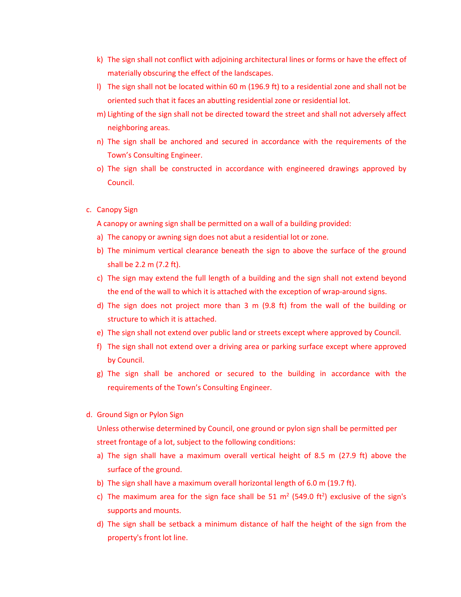- k) The sign shall not conflict with adjoining architectural lines or forms or have the effect of materially obscuring the effect of the landscapes.
- l) The sign shall not be located within 60 m (196.9 ft) to a residential zone and shall not be oriented such that it faces an abutting residential zone or residential lot.
- m) Lighting of the sign shall not be directed toward the street and shall not adversely affect neighboring areas.
- n) The sign shall be anchored and secured in accordance with the requirements of the Town's Consulting Engineer.
- o) The sign shall be constructed in accordance with engineered drawings approved by Council.
- c. Canopy Sign

A canopy or awning sign shall be permitted on a wall of a building provided:

- a) The canopy or awning sign does not abut a residential lot or zone.
- b) The minimum vertical clearance beneath the sign to above the surface of the ground shall be 2.2 m (7.2 ft).
- c) The sign may extend the full length of a building and the sign shall not extend beyond the end of the wall to which it is attached with the exception of wrap‐around signs.
- d) The sign does not project more than 3 m (9.8 ft) from the wall of the building or structure to which it is attached.
- e) The sign shall not extend over public land or streets except where approved by Council.
- f) The sign shall not extend over a driving area or parking surface except where approved by Council.
- g) The sign shall be anchored or secured to the building in accordance with the requirements of the Town's Consulting Engineer.
- d. Ground Sign or Pylon Sign

Unless otherwise determined by Council, one ground or pylon sign shall be permitted per street frontage of a lot, subject to the following conditions:

- a) The sign shall have a maximum overall vertical height of 8.5 m (27.9 ft) above the surface of the ground.
- b) The sign shall have a maximum overall horizontal length of 6.0 m (19.7 ft).
- c) The maximum area for the sign face shall be 51  $m^2$  (549.0 ft<sup>2</sup>) exclusive of the sign's supports and mounts.
- d) The sign shall be setback a minimum distance of half the height of the sign from the property's front lot line.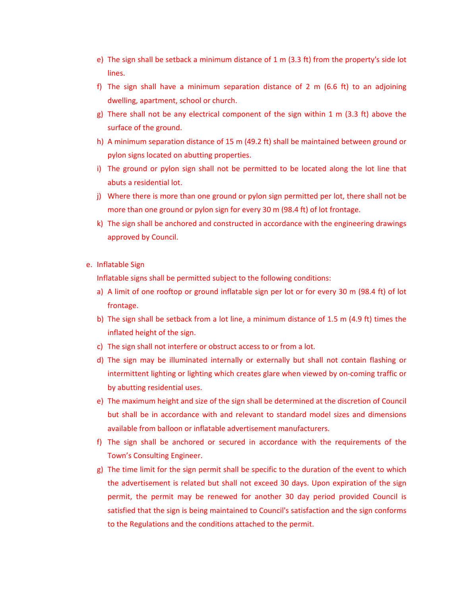- e) The sign shall be setback a minimum distance of  $1 \text{ m}$  (3.3 ft) from the property's side lot lines.
- f) The sign shall have a minimum separation distance of 2 m (6.6 ft) to an adjoining dwelling, apartment, school or church.
- g) There shall not be any electrical component of the sign within 1 m (3.3 ft) above the surface of the ground.
- h) A minimum separation distance of 15 m (49.2 ft) shall be maintained between ground or pylon signs located on abutting properties.
- i) The ground or pylon sign shall not be permitted to be located along the lot line that abuts a residential lot.
- j) Where there is more than one ground or pylon sign permitted per lot, there shall not be more than one ground or pylon sign for every 30 m (98.4 ft) of lot frontage.
- k) The sign shall be anchored and constructed in accordance with the engineering drawings approved by Council.
- e. Inflatable Sign

Inflatable signs shall be permitted subject to the following conditions:

- a) A limit of one rooftop or ground inflatable sign per lot or for every 30 m (98.4 ft) of lot frontage.
- b) The sign shall be setback from a lot line, a minimum distance of 1.5 m (4.9 ft) times the inflated height of the sign.
- c) The sign shall not interfere or obstruct access to or from a lot.
- d) The sign may be illuminated internally or externally but shall not contain flashing or intermittent lighting or lighting which creates glare when viewed by on‐coming traffic or by abutting residential uses.
- e) The maximum height and size of the sign shall be determined at the discretion of Council but shall be in accordance with and relevant to standard model sizes and dimensions available from balloon or inflatable advertisement manufacturers.
- f) The sign shall be anchored or secured in accordance with the requirements of the Town's Consulting Engineer.
- g) The time limit for the sign permit shall be specific to the duration of the event to which the advertisement is related but shall not exceed 30 days. Upon expiration of the sign permit, the permit may be renewed for another 30 day period provided Council is satisfied that the sign is being maintained to Council's satisfaction and the sign conforms to the Regulations and the conditions attached to the permit.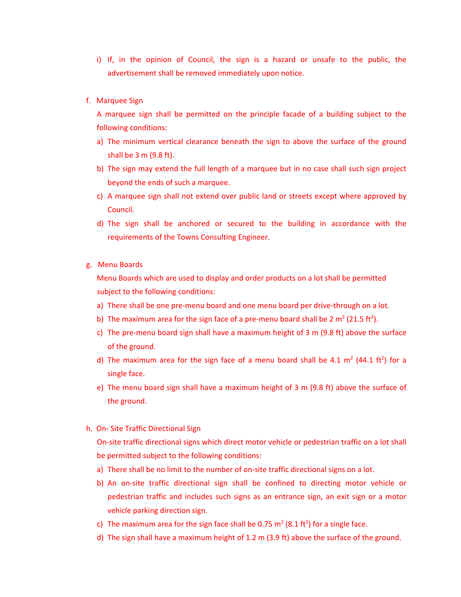- i) If, in the opinion of Council, the sign is a hazard or unsafe to the public, the advertisement shall be removed immediately upon notice.
- f. Marquee Sign

A marquee sign shall be permitted on the principle facade of a building subject to the following conditions:

- a) The minimum vertical clearance beneath the sign to above the surface of the ground shall be 3 m (9.8 ft).
- b) The sign may extend the full length of a marquee but in no case shall such sign project beyond the ends of such a marquee.
- c) A marquee sign shall not extend over public land or streets except where approved by Council.
- d) The sign shall be anchored or secured to the building in accordance with the requirements of the Towns Consulting Engineer.
- g. Menu Boards

Menu Boards which are used to display and order products on a lot shall be permitted subject to the following conditions:

- a) There shall be one pre-menu board and one menu board per drive-through on a lot.
- b) The maximum area for the sign face of a pre-menu board shall be 2  $m^2$  (21.5 ft<sup>2</sup>).
- c) The pre‐menu board sign shall have a maximum height of 3 m (9.8 ft) above the surface of the ground.
- d) The maximum area for the sign face of a menu board shall be 4.1  $m^2$  (44.1 ft<sup>2</sup>) for a single face.
- e) The menu board sign shall have a maximum height of 3 m (9.8 ft) above the surface of the ground.
- h. On‐ Site Traffic Directional Sign

On‐site traffic directional signs which direct motor vehicle or pedestrian traffic on a lot shall be permitted subject to the following conditions:

- a) There shall be no limit to the number of on-site traffic directional signs on a lot.
- b) An on‐site traffic directional sign shall be confined to directing motor vehicle or pedestrian traffic and includes such signs as an entrance sign, an exit sign or a motor vehicle parking direction sign.
- c) The maximum area for the sign face shall be 0.75  $m^2$  (8.1 ft<sup>2</sup>) for a single face.
- d) The sign shall have a maximum height of 1.2 m (3.9 ft) above the surface of the ground.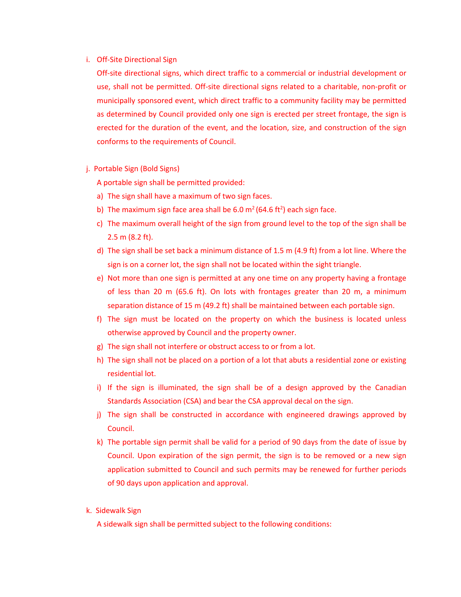#### i. Off-Site Directional Sign

Off‐site directional signs, which direct traffic to a commercial or industrial development or use, shall not be permitted. Off‐site directional signs related to a charitable, non‐profit or municipally sponsored event, which direct traffic to a community facility may be permitted as determined by Council provided only one sign is erected per street frontage, the sign is erected for the duration of the event, and the location, size, and construction of the sign conforms to the requirements of Council.

j. Portable Sign (Bold Signs)

A portable sign shall be permitted provided:

- a) The sign shall have a maximum of two sign faces.
- b) The maximum sign face area shall be  $6.0 \text{ m}^2 (64.6 \text{ ft}^2)$  each sign face.
- c) The maximum overall height of the sign from ground level to the top of the sign shall be 2.5 m (8.2 ft).
- d) The sign shall be set back a minimum distance of 1.5 m (4.9 ft) from a lot line. Where the sign is on a corner lot, the sign shall not be located within the sight triangle.
- e) Not more than one sign is permitted at any one time on any property having a frontage of less than 20 m (65.6 ft). On lots with frontages greater than 20 m, a minimum separation distance of 15 m (49.2 ft) shall be maintained between each portable sign.
- f) The sign must be located on the property on which the business is located unless otherwise approved by Council and the property owner.
- g) The sign shall not interfere or obstruct access to or from a lot.
- h) The sign shall not be placed on a portion of a lot that abuts a residential zone or existing residential lot.
- i) If the sign is illuminated, the sign shall be of a design approved by the Canadian Standards Association (CSA) and bear the CSA approval decal on the sign.
- j) The sign shall be constructed in accordance with engineered drawings approved by Council.
- k) The portable sign permit shall be valid for a period of 90 days from the date of issue by Council. Upon expiration of the sign permit, the sign is to be removed or a new sign application submitted to Council and such permits may be renewed for further periods of 90 days upon application and approval.
- k. Sidewalk Sign

A sidewalk sign shall be permitted subject to the following conditions: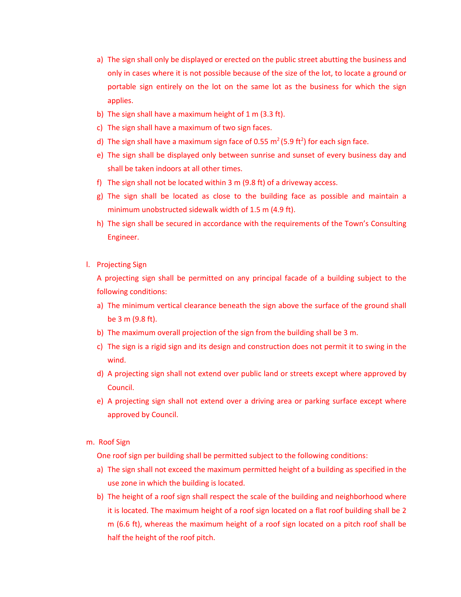- a) The sign shall only be displayed or erected on the public street abutting the business and only in cases where it is not possible because of the size of the lot, to locate a ground or portable sign entirely on the lot on the same lot as the business for which the sign applies.
- b) The sign shall have a maximum height of 1 m (3.3 ft).
- c) The sign shall have a maximum of two sign faces.
- d) The sign shall have a maximum sign face of 0.55 m<sup>2</sup> (5.9 ft<sup>2</sup>) for each sign face.
- e) The sign shall be displayed only between sunrise and sunset of every business day and shall be taken indoors at all other times.
- f) The sign shall not be located within 3 m (9.8 ft) of a driveway access.
- g) The sign shall be located as close to the building face as possible and maintain a minimum unobstructed sidewalk width of 1.5 m (4.9 ft).
- h) The sign shall be secured in accordance with the requirements of the Town's Consulting Engineer.
- l. Projecting Sign

A projecting sign shall be permitted on any principal facade of a building subject to the following conditions:

- a) The minimum vertical clearance beneath the sign above the surface of the ground shall be 3 m (9.8 ft).
- b) The maximum overall projection of the sign from the building shall be 3 m.
- c) The sign is a rigid sign and its design and construction does not permit it to swing in the wind.
- d) A projecting sign shall not extend over public land or streets except where approved by Council.
- e) A projecting sign shall not extend over a driving area or parking surface except where approved by Council.
- m. Roof Sign

One roof sign per building shall be permitted subject to the following conditions:

- a) The sign shall not exceed the maximum permitted height of a building as specified in the use zone in which the building is located.
- b) The height of a roof sign shall respect the scale of the building and neighborhood where it is located. The maximum height of a roof sign located on a flat roof building shall be 2 m (6.6 ft), whereas the maximum height of a roof sign located on a pitch roof shall be half the height of the roof pitch.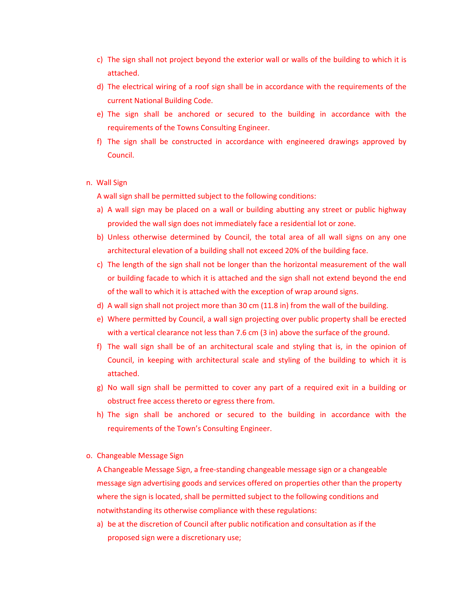- c) The sign shall not project beyond the exterior wall or walls of the building to which it is attached.
- d) The electrical wiring of a roof sign shall be in accordance with the requirements of the current National Building Code.
- e) The sign shall be anchored or secured to the building in accordance with the requirements of the Towns Consulting Engineer.
- f) The sign shall be constructed in accordance with engineered drawings approved by Council.
- n. Wall Sign

A wall sign shall be permitted subject to the following conditions:

- a) A wall sign may be placed on a wall or building abutting any street or public highway provided the wall sign does not immediately face a residential lot or zone.
- b) Unless otherwise determined by Council, the total area of all wall signs on any one architectural elevation of a building shall not exceed 20% of the building face.
- c) The length of the sign shall not be longer than the horizontal measurement of the wall or building facade to which it is attached and the sign shall not extend beyond the end of the wall to which it is attached with the exception of wrap around signs.
- d) A wall sign shall not project more than 30 cm (11.8 in) from the wall of the building.
- e) Where permitted by Council, a wall sign projecting over public property shall be erected with a vertical clearance not less than 7.6 cm (3 in) above the surface of the ground.
- f) The wall sign shall be of an architectural scale and styling that is, in the opinion of Council, in keeping with architectural scale and styling of the building to which it is attached.
- g) No wall sign shall be permitted to cover any part of a required exit in a building or obstruct free access thereto or egress there from.
- h) The sign shall be anchored or secured to the building in accordance with the requirements of the Town's Consulting Engineer.
- o. Changeable Message Sign

A Changeable Message Sign, a free‐standing changeable message sign or a changeable message sign advertising goods and services offered on properties other than the property where the sign is located, shall be permitted subject to the following conditions and notwithstanding its otherwise compliance with these regulations:

a) be at the discretion of Council after public notification and consultation as if the proposed sign were a discretionary use;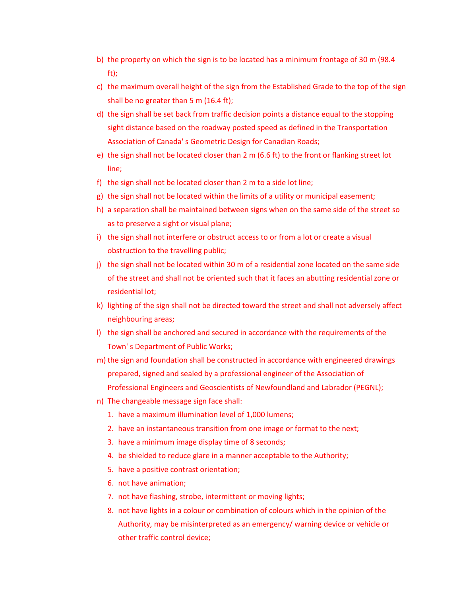- b) the property on which the sign is to be located has a minimum frontage of 30 m (98.4 ft);
- c) the maximum overall height of the sign from the Established Grade to the top of the sign shall be no greater than 5 m (16.4 ft);
- d) the sign shall be set back from traffic decision points a distance equal to the stopping sight distance based on the roadway posted speed as defined in the Transportation Association of Canada' s Geometric Design for Canadian Roads;
- e) the sign shall not be located closer than 2 m (6.6 ft) to the front or flanking street lot line;
- f) the sign shall not be located closer than 2 m to a side lot line;
- g) the sign shall not be located within the limits of a utility or municipal easement;
- h) a separation shall be maintained between signs when on the same side of the street so as to preserve a sight or visual plane;
- i) the sign shall not interfere or obstruct access to or from a lot or create a visual obstruction to the travelling public;
- j) the sign shall not be located within 30 m of a residential zone located on the same side of the street and shall not be oriented such that it faces an abutting residential zone or residential lot;
- k) lighting of the sign shall not be directed toward the street and shall not adversely affect neighbouring areas;
- l) the sign shall be anchored and secured in accordance with the requirements of the Town' s Department of Public Works;
- m) the sign and foundation shall be constructed in accordance with engineered drawings prepared, signed and sealed by a professional engineer of the Association of Professional Engineers and Geoscientists of Newfoundland and Labrador (PEGNL);
- n) The changeable message sign face shall:
	- 1. have a maximum illumination level of 1,000 lumens;
	- 2. have an instantaneous transition from one image or format to the next;
	- 3. have a minimum image display time of 8 seconds;
	- 4. be shielded to reduce glare in a manner acceptable to the Authority;
	- 5. have a positive contrast orientation;
	- 6. not have animation;
	- 7. not have flashing, strobe, intermittent or moving lights;
	- 8. not have lights in a colour or combination of colours which in the opinion of the Authority, may be misinterpreted as an emergency/ warning device or vehicle or other traffic control device;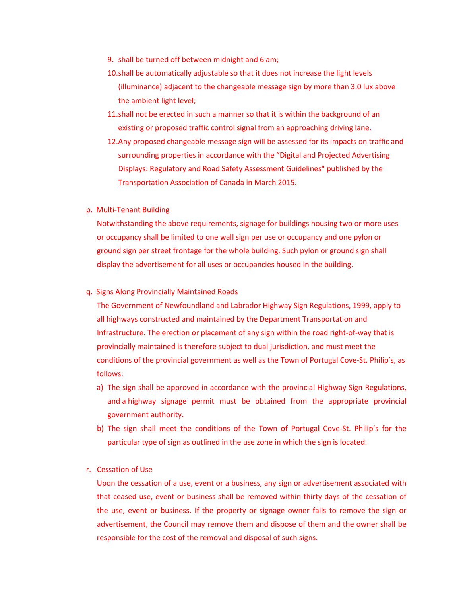- 9. shall be turned off between midnight and 6 am;
- 10.shall be automatically adjustable so that it does not increase the light levels (illuminance) adjacent to the changeable message sign by more than 3.0 lux above the ambient light level;
- 11.shall not be erected in such a manner so that it is within the background of an existing or proposed traffic control signal from an approaching driving lane.
- 12.Any proposed changeable message sign will be assessed for its impacts on traffic and surrounding properties in accordance with the "Digital and Projected Advertising Displays: Regulatory and Road Safety Assessment Guidelines" published by the Transportation Association of Canada in March 2015.
- p. Multi‐Tenant Building

Notwithstanding the above requirements, signage for buildings housing two or more uses or occupancy shall be limited to one wall sign per use or occupancy and one pylon or ground sign per street frontage for the whole building. Such pylon or ground sign shall display the advertisement for all uses or occupancies housed in the building.

#### q. Signs Along Provincially Maintained Roads

The Government of Newfoundland and Labrador Highway Sign Regulations, 1999, apply to all highways constructed and maintained by the Department Transportation and Infrastructure. The erection or placement of any sign within the road right‐of‐way that is provincially maintained is therefore subject to dual jurisdiction, and must meet the conditions of the provincial government as well as the Town of Portugal Cove-St. Philip's, as follows:

- a) The sign shall be approved in accordance with the provincial Highway Sign Regulations, and a highway signage permit must be obtained from the appropriate provincial government authority.
- b) The sign shall meet the conditions of the Town of Portugal Cove-St. Philip's for the particular type of sign as outlined in the use zone in which the sign is located.
- r. Cessation of Use

Upon the cessation of a use, event or a business, any sign or advertisement associated with that ceased use, event or business shall be removed within thirty days of the cessation of the use, event or business. If the property or signage owner fails to remove the sign or advertisement, the Council may remove them and dispose of them and the owner shall be responsible for the cost of the removal and disposal of such signs.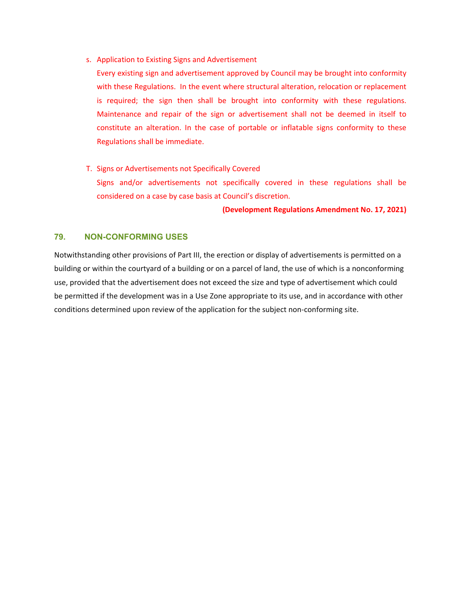s. Application to Existing Signs and Advertisement

Every existing sign and advertisement approved by Council may be brought into conformity with these Regulations. In the event where structural alteration, relocation or replacement is required; the sign then shall be brought into conformity with these regulations. Maintenance and repair of the sign or advertisement shall not be deemed in itself to constitute an alteration. In the case of portable or inflatable signs conformity to these Regulations shall be immediate.

T. Signs or Advertisements not Specifically Covered Signs and/or advertisements not specifically covered in these regulations shall be considered on a case by case basis at Council's discretion.

#### **(Development Regulations Amendment No. 17, 2021)**

# **79. NON-CONFORMING USES**

Notwithstanding other provisions of Part III, the erection or display of advertisements is permitted on a building or within the courtyard of a building or on a parcel of land, the use of which is a nonconforming use, provided that the advertisement does not exceed the size and type of advertisement which could be permitted if the development was in a Use Zone appropriate to its use, and in accordance with other conditions determined upon review of the application for the subject non-conforming site.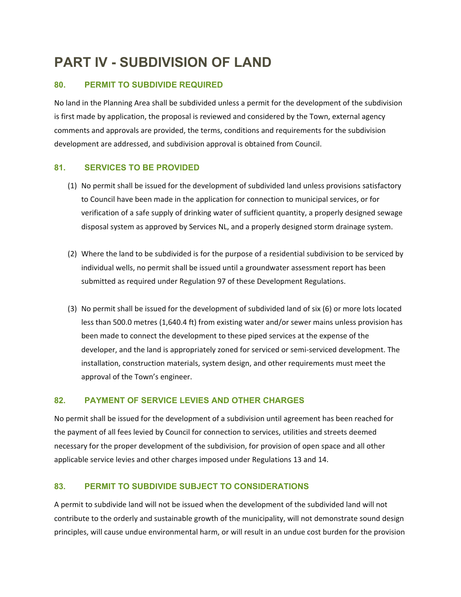# **PART IV - SUBDIVISION OF LAND**

# **80. PERMIT TO SUBDIVIDE REQUIRED**

No land in the Planning Area shall be subdivided unless a permit for the development of the subdivision is first made by application, the proposal is reviewed and considered by the Town, external agency comments and approvals are provided, the terms, conditions and requirements for the subdivision development are addressed, and subdivision approval is obtained from Council.

# **81. SERVICES TO BE PROVIDED**

- (1) No permit shall be issued for the development of subdivided land unless provisions satisfactory to Council have been made in the application for connection to municipal services, or for verification of a safe supply of drinking water of sufficient quantity, a properly designed sewage disposal system as approved by Services NL, and a properly designed storm drainage system.
- (2) Where the land to be subdivided is for the purpose of a residential subdivision to be serviced by individual wells, no permit shall be issued until a groundwater assessment report has been submitted as required under Regulation 97 of these Development Regulations.
- (3) No permit shall be issued for the development of subdivided land of six (6) or more lots located less than 500.0 metres (1,640.4 ft) from existing water and/or sewer mains unless provision has been made to connect the development to these piped services at the expense of the developer, and the land is appropriately zoned for serviced or semi‐serviced development. The installation, construction materials, system design, and other requirements must meet the approval of the Town's engineer.

# **82. PAYMENT OF SERVICE LEVIES AND OTHER CHARGES**

No permit shall be issued for the development of a subdivision until agreement has been reached for the payment of all fees levied by Council for connection to services, utilities and streets deemed necessary for the proper development of the subdivision, for provision of open space and all other applicable service levies and other charges imposed under Regulations 13 and 14.

# **83. PERMIT TO SUBDIVIDE SUBJECT TO CONSIDERATIONS**

A permit to subdivide land will not be issued when the development of the subdivided land will not contribute to the orderly and sustainable growth of the municipality, will not demonstrate sound design principles, will cause undue environmental harm, or will result in an undue cost burden for the provision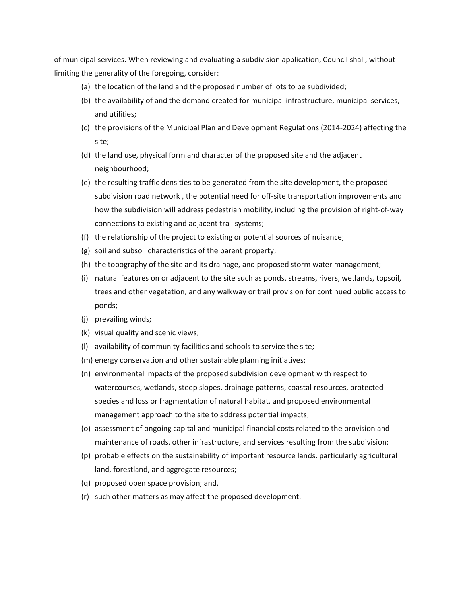of municipal services. When reviewing and evaluating a subdivision application, Council shall, without limiting the generality of the foregoing, consider:

- (a) the location of the land and the proposed number of lots to be subdivided;
- (b) the availability of and the demand created for municipal infrastructure, municipal services, and utilities;
- (c) the provisions of the Municipal Plan and Development Regulations (2014‐2024) affecting the site;
- (d) the land use, physical form and character of the proposed site and the adjacent neighbourhood;
- (e) the resulting traffic densities to be generated from the site development, the proposed subdivision road network , the potential need for off‐site transportation improvements and how the subdivision will address pedestrian mobility, including the provision of right‐of‐way connections to existing and adjacent trail systems;
- (f) the relationship of the project to existing or potential sources of nuisance;
- (g) soil and subsoil characteristics of the parent property;
- (h) the topography of the site and its drainage, and proposed storm water management;
- (i) natural features on or adjacent to the site such as ponds, streams, rivers, wetlands, topsoil, trees and other vegetation, and any walkway or trail provision for continued public access to ponds;
- (j) prevailing winds;
- (k) visual quality and scenic views;
- (l) availability of community facilities and schools to service the site;
- (m) energy conservation and other sustainable planning initiatives;
- (n) environmental impacts of the proposed subdivision development with respect to watercourses, wetlands, steep slopes, drainage patterns, coastal resources, protected species and loss or fragmentation of natural habitat, and proposed environmental management approach to the site to address potential impacts;
- (o) assessment of ongoing capital and municipal financial costs related to the provision and maintenance of roads, other infrastructure, and services resulting from the subdivision;
- (p) probable effects on the sustainability of important resource lands, particularly agricultural land, forestland, and aggregate resources;
- (q) proposed open space provision; and,
- (r) such other matters as may affect the proposed development.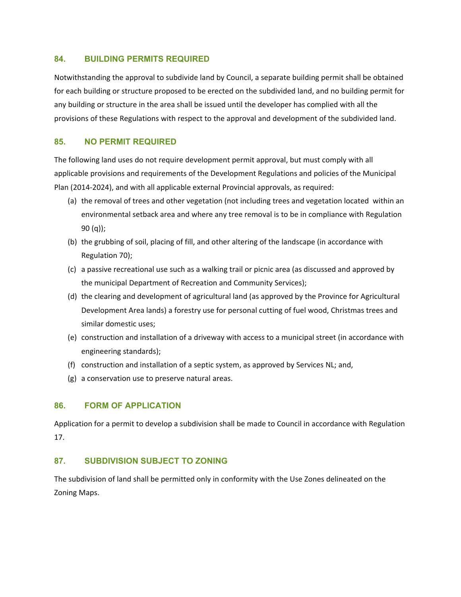# **84. BUILDING PERMITS REQUIRED**

Notwithstanding the approval to subdivide land by Council, a separate building permit shall be obtained for each building or structure proposed to be erected on the subdivided land, and no building permit for any building or structure in the area shall be issued until the developer has complied with all the provisions of these Regulations with respect to the approval and development of the subdivided land.

# **85. NO PERMIT REQUIRED**

The following land uses do not require development permit approval, but must comply with all applicable provisions and requirements of the Development Regulations and policies of the Municipal Plan (2014‐2024), and with all applicable external Provincial approvals, as required:

- (a) the removal of trees and other vegetation (not including trees and vegetation located within an environmental setback area and where any tree removal is to be in compliance with Regulation 90 (q));
- (b) the grubbing of soil, placing of fill, and other altering of the landscape (in accordance with Regulation 70);
- (c) a passive recreational use such as a walking trail or picnic area (as discussed and approved by the municipal Department of Recreation and Community Services);
- (d) the clearing and development of agricultural land (as approved by the Province for Agricultural Development Area lands) a forestry use for personal cutting of fuel wood, Christmas trees and similar domestic uses;
- (e) construction and installation of a driveway with access to a municipal street (in accordance with engineering standards);
- (f) construction and installation of a septic system, as approved by Services NL; and,
- (g) a conservation use to preserve natural areas.

## **86. FORM OF APPLICATION**

Application for a permit to develop a subdivision shall be made to Council in accordance with Regulation 17.

# **87. SUBDIVISION SUBJECT TO ZONING**

The subdivision of land shall be permitted only in conformity with the Use Zones delineated on the Zoning Maps.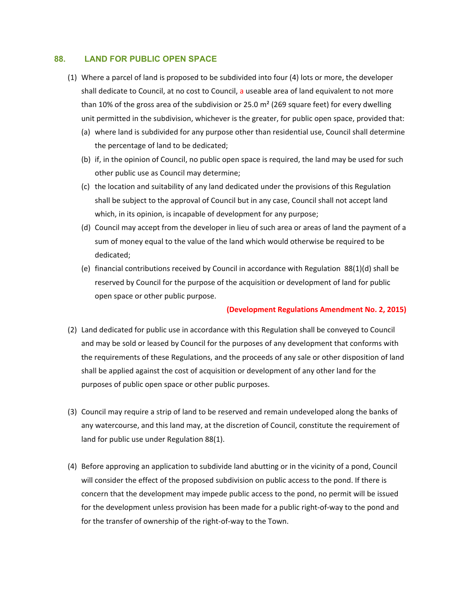## **88. LAND FOR PUBLIC OPEN SPACE**

- (1) Where a parcel of land is proposed to be subdivided into four (4) lots or more, the developer shall dedicate to Council, at no cost to Council, a useable area of land equivalent to not more than 10% of the gross area of the subdivision or 25.0  $m<sup>2</sup>$  (269 square feet) for every dwelling unit permitted in the subdivision, whichever is the greater, for public open space, provided that:
	- (a) where land is subdivided for any purpose other than residential use, Council shall determine the percentage of land to be dedicated;
	- (b) if, in the opinion of Council, no public open space is required, the land may be used for such other public use as Council may determine;
	- (c) the location and suitability of any land dedicated under the provisions of this Regulation shall be subject to the approval of Council but in any case, Council shall not accept land which, in its opinion, is incapable of development for any purpose;
	- (d) Council may accept from the developer in lieu of such area or areas of land the payment of a sum of money equal to the value of the land which would otherwise be required to be dedicated;
	- (e) financial contributions received by Council in accordance with Regulation 88(1)(d) shall be reserved by Council for the purpose of the acquisition or development of land for public open space or other public purpose.

## **(Development Regulations Amendment No. 2, 2015)**

- (2) Land dedicated for public use in accordance with this Regulation shall be conveyed to Council and may be sold or leased by Council for the purposes of any development that conforms with the requirements of these Regulations, and the proceeds of any sale or other disposition of land shall be applied against the cost of acquisition or development of any other land for the purposes of public open space or other public purposes.
- (3) Council may require a strip of land to be reserved and remain undeveloped along the banks of any watercourse, and this land may, at the discretion of Council, constitute the requirement of land for public use under Regulation 88(1).
- (4) Before approving an application to subdivide land abutting or in the vicinity of a pond, Council will consider the effect of the proposed subdivision on public access to the pond. If there is concern that the development may impede public access to the pond, no permit will be issued for the development unless provision has been made for a public right‐of‐way to the pond and for the transfer of ownership of the right‐of‐way to the Town.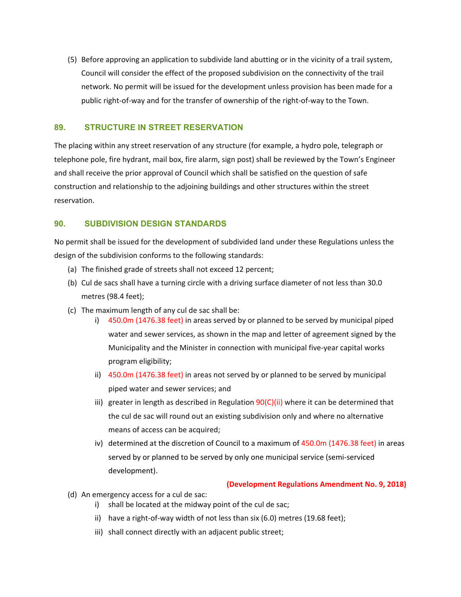(5) Before approving an application to subdivide land abutting or in the vicinity of a trail system, Council will consider the effect of the proposed subdivision on the connectivity of the trail network. No permit will be issued for the development unless provision has been made for a public right‐of‐way and for the transfer of ownership of the right‐of‐way to the Town.

## **89. STRUCTURE IN STREET RESERVATION**

The placing within any street reservation of any structure (for example, a hydro pole, telegraph or telephone pole, fire hydrant, mail box, fire alarm, sign post) shall be reviewed by the Town's Engineer and shall receive the prior approval of Council which shall be satisfied on the question of safe construction and relationship to the adjoining buildings and other structures within the street reservation.

# **90. SUBDIVISION DESIGN STANDARDS**

No permit shall be issued for the development of subdivided land under these Regulations unless the design of the subdivision conforms to the following standards:

- (a) The finished grade of streets shall not exceed 12 percent;
- (b) Cul de sacs shall have a turning circle with a driving surface diameter of not less than 30.0 metres (98.4 feet);
- (c) The maximum length of any cul de sac shall be:
	- i) 450.0m (1476.38 feet) in areas served by or planned to be served by municipal piped water and sewer services, as shown in the map and letter of agreement signed by the Municipality and the Minister in connection with municipal five‐year capital works program eligibility;
	- ii) 450.0m (1476.38 feet) in areas not served by or planned to be served by municipal piped water and sewer services; and
	- iii) greater in length as described in Regulation  $90(C)(ii)$  where it can be determined that the cul de sac will round out an existing subdivision only and where no alternative means of access can be acquired;
	- iv) determined at the discretion of Council to a maximum of 450.0m (1476.38 feet) in areas served by or planned to be served by only one municipal service (semi‐serviced development).

## **(Development Regulations Amendment No. 9, 2018)**

- (d) An emergency access for a cul de sac:
	- i) shall be located at the midway point of the cul de sac;
	- ii) have a right-of-way width of not less than six (6.0) metres (19.68 feet);
	- iii) shall connect directly with an adjacent public street;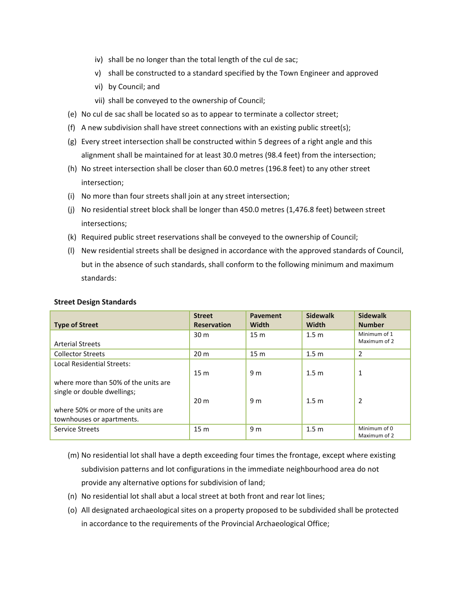- iv) shall be no longer than the total length of the cul de sac;
- v) shall be constructed to a standard specified by the Town Engineer and approved
- vi) by Council; and
- vii) shall be conveyed to the ownership of Council;
- (e) No cul de sac shall be located so as to appear to terminate a collector street;
- (f) A new subdivision shall have street connections with an existing public street(s);
- (g) Every street intersection shall be constructed within 5 degrees of a right angle and this alignment shall be maintained for at least 30.0 metres (98.4 feet) from the intersection;
- (h) No street intersection shall be closer than 60.0 metres (196.8 feet) to any other street intersection;
- (i) No more than four streets shall join at any street intersection;
- (j) No residential street block shall be longer than 450.0 metres (1,476.8 feet) between street intersections;
- (k) Required public street reservations shall be conveyed to the ownership of Council;
- (l) New residential streets shall be designed in accordance with the approved standards of Council, but in the absence of such standards, shall conform to the following minimum and maximum standards:

| <b>Type of Street</b>                                                                             | <b>Street</b><br><b>Reservation</b> | <b>Pavement</b><br><b>Width</b> | <b>Sidewalk</b><br>Width             | <b>Sidewalk</b><br><b>Number</b> |
|---------------------------------------------------------------------------------------------------|-------------------------------------|---------------------------------|--------------------------------------|----------------------------------|
| <b>Arterial Streets</b>                                                                           | 30 <sub>m</sub>                     | 15 <sub>m</sub>                 | 1.5 <sub>m</sub>                     | Minimum of 1<br>Maximum of 2     |
| <b>Collector Streets</b>                                                                          | 20 <sub>m</sub>                     | 15 <sub>m</sub>                 | 1.5 <sub>m</sub>                     | 2                                |
| Local Residential Streets:<br>where more than 50% of the units are<br>single or double dwellings; | 15 <sub>m</sub><br>20 <sub>m</sub>  | 9 <sub>m</sub><br>9 m           | 1.5 <sub>m</sub><br>1.5 <sub>m</sub> | $\mathbf{1}$<br>$\overline{2}$   |
| where 50% or more of the units are<br>townhouses or apartments.<br>Service Streets                | 15 <sub>m</sub>                     | 9 <sub>m</sub>                  | 1.5 <sub>m</sub>                     | Minimum of 0                     |
|                                                                                                   |                                     |                                 |                                      | Maximum of 2                     |

#### **Street Design Standards**

(m) No residential lot shall have a depth exceeding four times the frontage, except where existing subdivision patterns and lot configurations in the immediate neighbourhood area do not provide any alternative options for subdivision of land;

- (n) No residential lot shall abut a local street at both front and rear lot lines;
- (o) All designated archaeological sites on a property proposed to be subdivided shall be protected in accordance to the requirements of the Provincial Archaeological Office;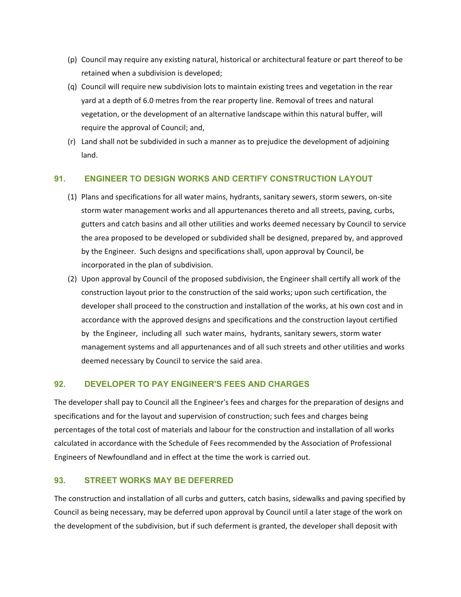- (p) Council may require any existing natural, historical or architectural feature or part thereof to be retained when a subdivision is developed;
- (q) Council will require new subdivision lots to maintain existing trees and vegetation in the rear yard at a depth of 6.0 metres from the rear property line. Removal of trees and natural vegetation, or the development of an alternative landscape within this natural buffer, will require the approval of Council; and,
- (r) Land shall not be subdivided in such a manner as to prejudice the development of adjoining land.

## **91. ENGINEER TO DESIGN WORKS AND CERTIFY CONSTRUCTION LAYOUT**

- (1) Plans and specifications for all water mains, hydrants, sanitary sewers, storm sewers, on‐site storm water management works and all appurtenances thereto and all streets, paving, curbs, gutters and catch basins and all other utilities and works deemed necessary by Council to service the area proposed to be developed or subdivided shall be designed, prepared by, and approved by the Engineer. Such designs and specifications shall, upon approval by Council, be incorporated in the plan of subdivision.
- (2) Upon approval by Council of the proposed subdivision, the Engineer shall certify all work of the construction layout prior to the construction of the said works; upon such certification, the developer shall proceed to the construction and installation of the works, at his own cost and in accordance with the approved designs and specifications and the construction layout certified by the Engineer, including all such water mains, hydrants, sanitary sewers, storm water management systems and all appurtenances and of all such streets and other utilities and works deemed necessary by Council to service the said area.

## **92. DEVELOPER TO PAY ENGINEER'S FEES AND CHARGES**

The developer shall pay to Council all the Engineer's fees and charges for the preparation of designs and specifications and for the layout and supervision of construction; such fees and charges being percentages of the total cost of materials and labour for the construction and installation of all works calculated in accordance with the Schedule of Fees recommended by the Association of Professional Engineers of Newfoundland and in effect at the time the work is carried out.

### **93. STREET WORKS MAY BE DEFERRED**

The construction and installation of all curbs and gutters, catch basins, sidewalks and paving specified by Council as being necessary, may be deferred upon approval by Council until a later stage of the work on the development of the subdivision, but if such deferment is granted, the developer shall deposit with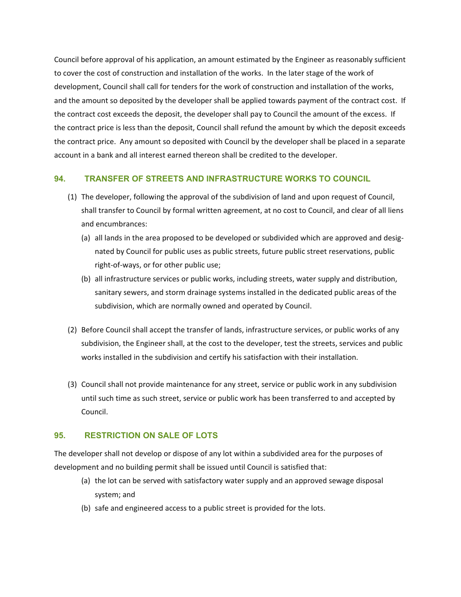Council before approval of his application, an amount estimated by the Engineer as reasonably sufficient to cover the cost of construction and installation of the works. In the later stage of the work of development, Council shall call for tenders for the work of construction and installation of the works, and the amount so deposited by the developer shall be applied towards payment of the contract cost. If the contract cost exceeds the deposit, the developer shall pay to Council the amount of the excess. If the contract price is less than the deposit, Council shall refund the amount by which the deposit exceeds the contract price. Any amount so deposited with Council by the developer shall be placed in a separate account in a bank and all interest earned thereon shall be credited to the developer.

### **94. TRANSFER OF STREETS AND INFRASTRUCTURE WORKS TO COUNCIL**

- (1) The developer, following the approval of the subdivision of land and upon request of Council, shall transfer to Council by formal written agreement, at no cost to Council, and clear of all liens and encumbrances:
	- (a) all lands in the area proposed to be developed or subdivided which are approved and desig‐ nated by Council for public uses as public streets, future public street reservations, public right‐of‐ways, or for other public use;
	- (b) all infrastructure services or public works, including streets, water supply and distribution, sanitary sewers, and storm drainage systems installed in the dedicated public areas of the subdivision, which are normally owned and operated by Council.
- (2) Before Council shall accept the transfer of lands, infrastructure services, or public works of any subdivision, the Engineer shall, at the cost to the developer, test the streets, services and public works installed in the subdivision and certify his satisfaction with their installation.
- (3) Council shall not provide maintenance for any street, service or public work in any subdivision until such time as such street, service or public work has been transferred to and accepted by Council.

## **95. RESTRICTION ON SALE OF LOTS**

The developer shall not develop or dispose of any lot within a subdivided area for the purposes of development and no building permit shall be issued until Council is satisfied that:

- (a) the lot can be served with satisfactory water supply and an approved sewage disposal system; and
- (b) safe and engineered access to a public street is provided for the lots.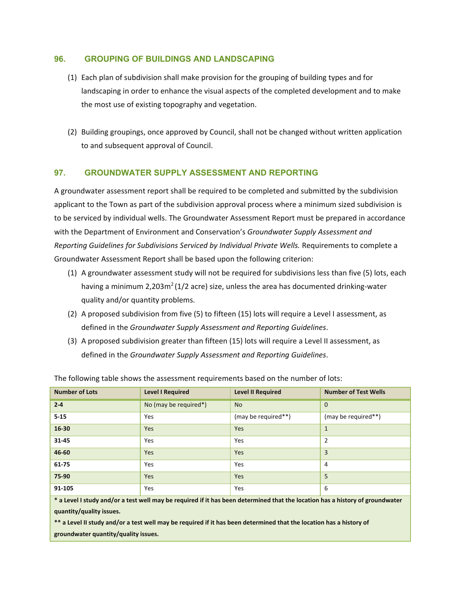## **96. GROUPING OF BUILDINGS AND LANDSCAPING**

- (1) Each plan of subdivision shall make provision for the grouping of building types and for landscaping in order to enhance the visual aspects of the completed development and to make the most use of existing topography and vegetation.
- (2) Building groupings, once approved by Council, shall not be changed without written application to and subsequent approval of Council.

## **97. GROUNDWATER SUPPLY ASSESSMENT AND REPORTING**

A groundwater assessment report shall be required to be completed and submitted by the subdivision applicant to the Town as part of the subdivision approval process where a minimum sized subdivision is to be serviced by individual wells. The Groundwater Assessment Report must be prepared in accordance with the Department of Environment and Conservation's *Groundwater Supply Assessment and Reporting Guidelines for Subdivisions Serviced by Individual Private Wells.* Requirements to complete a Groundwater Assessment Report shall be based upon the following criterion:

- (1) A groundwater assessment study will not be required for subdivisions less than five (5) lots, each having a minimum 2,203m<sup>2</sup> (1/2 acre) size, unless the area has documented drinking-water quality and/or quantity problems.
- (2) A proposed subdivision from five (5) to fifteen (15) lots will require a Level I assessment, as defined in the *Groundwater Supply Assessment and Reporting Guidelines*.
- (3) A proposed subdivision greater than fifteen (15) lots will require a Level II assessment, as defined in the *Groundwater Supply Assessment and Reporting Guidelines*.

| <b>Number of Lots</b>                                                                                                         | <b>Level I Required</b> | <b>Level II Required</b> | <b>Number of Test Wells</b> |  |  |
|-------------------------------------------------------------------------------------------------------------------------------|-------------------------|--------------------------|-----------------------------|--|--|
| $2 - 4$                                                                                                                       | No (may be required*)   | <b>No</b>                | $\Omega$                    |  |  |
| $5 - 15$                                                                                                                      | Yes                     | (may be required**)      | (may be required**)         |  |  |
| 16-30                                                                                                                         | <b>Yes</b>              | <b>Yes</b>               | $\mathbf{1}$                |  |  |
| $31 - 45$                                                                                                                     | Yes                     | Yes                      | $\overline{2}$              |  |  |
| 46-60                                                                                                                         | <b>Yes</b>              | <b>Yes</b>               | 3                           |  |  |
| 61-75                                                                                                                         | <b>Yes</b>              | Yes                      | 4                           |  |  |
| 75-90                                                                                                                         | <b>Yes</b>              | <b>Yes</b>               | 5                           |  |  |
| 91-105                                                                                                                        | Yes                     | Yes                      | 6                           |  |  |
| * a Level I study and/or a test well may be required if it has been determined that the location has a history of groundwater |                         |                          |                             |  |  |
| quantity/quality issues.                                                                                                      |                         |                          |                             |  |  |

The following table shows the assessment requirements based on the number of lots:

\*\* a Level II study and/or a test well may be required if it has been determined that the location has a history of

**groundwater quantity/quality issues.**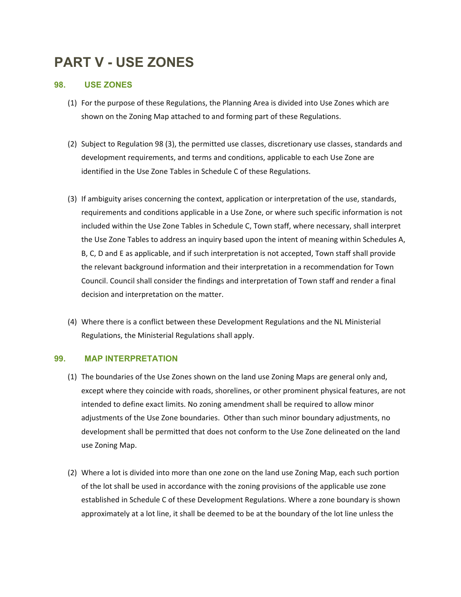# **PART V - USE ZONES**

## **98. USE ZONES**

- (1) For the purpose of these Regulations, the Planning Area is divided into Use Zones which are shown on the Zoning Map attached to and forming part of these Regulations.
- (2) Subject to Regulation 98 (3), the permitted use classes, discretionary use classes, standards and development requirements, and terms and conditions, applicable to each Use Zone are identified in the Use Zone Tables in Schedule C of these Regulations.
- (3) If ambiguity arises concerning the context, application or interpretation of the use, standards, requirements and conditions applicable in a Use Zone, or where such specific information is not included within the Use Zone Tables in Schedule C, Town staff, where necessary, shall interpret the Use Zone Tables to address an inquiry based upon the intent of meaning within Schedules A, B, C, D and E as applicable, and if such interpretation is not accepted, Town staff shall provide the relevant background information and their interpretation in a recommendation for Town Council. Council shall consider the findings and interpretation of Town staff and render a final decision and interpretation on the matter.
- (4) Where there is a conflict between these Development Regulations and the NL Ministerial Regulations, the Ministerial Regulations shall apply.

### **99. MAP INTERPRETATION**

- (1) The boundaries of the Use Zones shown on the land use Zoning Maps are general only and, except where they coincide with roads, shorelines, or other prominent physical features, are not intended to define exact limits. No zoning amendment shall be required to allow minor adjustments of the Use Zone boundaries. Other than such minor boundary adjustments, no development shall be permitted that does not conform to the Use Zone delineated on the land use Zoning Map.
- (2) Where a lot is divided into more than one zone on the land use Zoning Map, each such portion of the lot shall be used in accordance with the zoning provisions of the applicable use zone established in Schedule C of these Development Regulations. Where a zone boundary is shown approximately at a lot line, it shall be deemed to be at the boundary of the lot line unless the